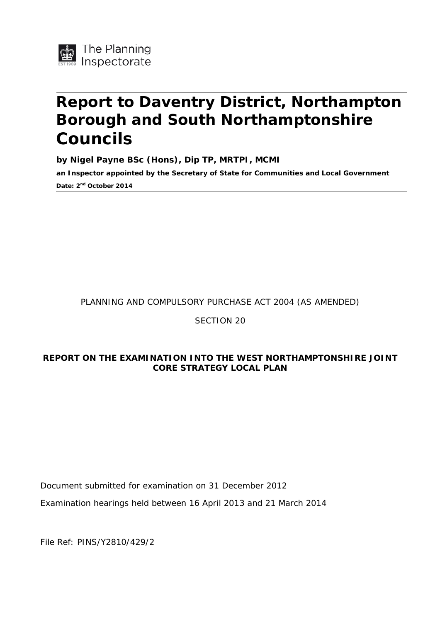

# **Report to Daventry District, Northampton Borough and South Northamptonshire Councils**

**by Nigel Payne BSc (Hons), Dip TP, MRTPI, MCMI**

**an Inspector appointed by the Secretary of State for Communities and Local Government Date: 2nd October 2014**

PLANNING AND COMPULSORY PURCHASE ACT 2004 (AS AMENDED)

#### SECTION 20

#### **REPORT ON THE EXAMINATION INTO THE WEST NORTHAMPTONSHIRE JOINT CORE STRATEGY LOCAL PLAN**

Document submitted for examination on 31 December 2012

Examination hearings held between 16 April 2013 and 21 March 2014

File Ref: PINS/Y2810/429/2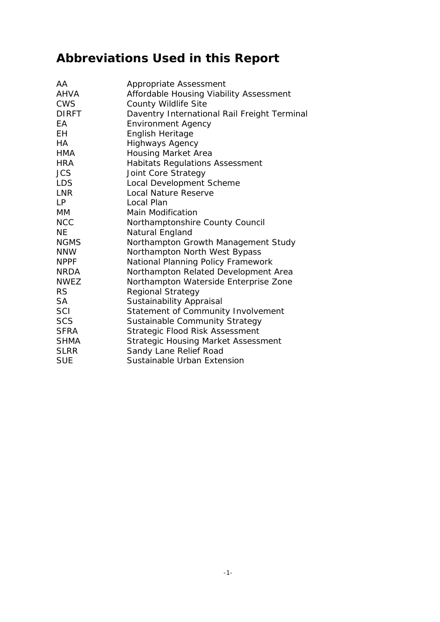# **Abbreviations Used in this Report**

| Appropriate Assessment                       |
|----------------------------------------------|
| Affordable Housing Viability Assessment      |
| <b>County Wildlife Site</b>                  |
| Daventry International Rail Freight Terminal |
| <b>Environment Agency</b>                    |
| English Heritage                             |
| <b>Highways Agency</b>                       |
| <b>Housing Market Area</b>                   |
| <b>Habitats Regulations Assessment</b>       |
| Joint Core Strategy                          |
| Local Development Scheme                     |
| Local Nature Reserve                         |
| Local Plan                                   |
| <b>Main Modification</b>                     |
| Northamptonshire County Council              |
| Natural England                              |
| Northampton Growth Management Study          |
| Northampton North West Bypass                |
| National Planning Policy Framework           |
| Northampton Related Development Area         |
| Northampton Waterside Enterprise Zone        |
| <b>Regional Strategy</b>                     |
| Sustainability Appraisal                     |
| Statement of Community Involvement           |
| Sustainable Community Strategy               |
| Strategic Flood Risk Assessment              |
| Strategic Housing Market Assessment          |
| Sandy Lane Relief Road                       |
| Sustainable Urban Extension                  |
|                                              |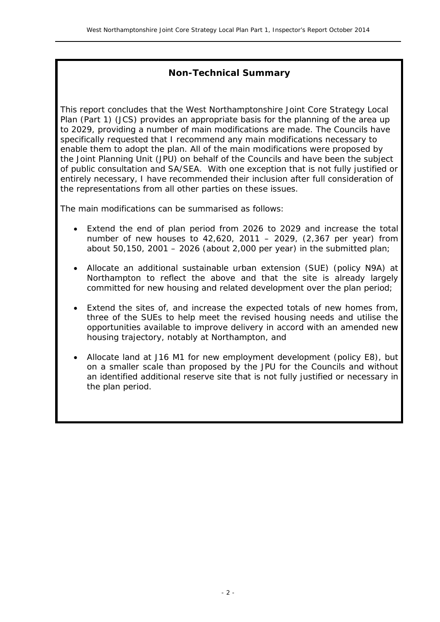#### **Non-Technical Summary**

This report concludes that the West Northamptonshire Joint Core Strategy Local Plan (Part 1) (JCS) provides an appropriate basis for the planning of the area up to 2029, providing a number of main modifications are made. The Councils have specifically requested that I recommend any main modifications necessary to enable them to adopt the plan. All of the main modifications were proposed by the Joint Planning Unit (JPU) on behalf of the Councils and have been the subject of public consultation and SA/SEA. With one exception that is not fully justified or entirely necessary, I have recommended their inclusion after full consideration of the representations from all other parties on these issues.

The main modifications can be summarised as follows:

- Extend the end of plan period from 2026 to 2029 and increase the total number of new houses to 42,620, 2011 – 2029, (2,367 per year) from about 50,150, 2001 – 2026 (about 2,000 per year) in the submitted plan;
- Allocate an additional sustainable urban extension (SUE) (policy N9A) at Northampton to reflect the above and that the site is already largely committed for new housing and related development over the plan period;
- Extend the sites of, and increase the expected totals of new homes from, three of the SUEs to help meet the revised housing needs and utilise the opportunities available to improve delivery in accord with an amended new housing trajectory, notably at Northampton, and
- Allocate land at J16 M1 for new employment development (policy E8), but on a smaller scale than proposed by the JPU for the Councils and without an identified additional reserve site that is not fully justified or necessary in the plan period.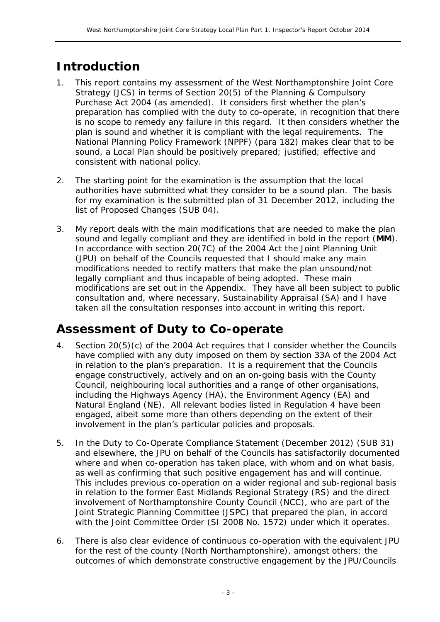# **Introduction**

- 1. This report contains my assessment of the West Northamptonshire Joint Core Strategy (JCS) in terms of Section 20(5) of the Planning & Compulsory Purchase Act 2004 (as amended). It considers first whether the plan's preparation has complied with the duty to co-operate, in recognition that there is no scope to remedy any failure in this regard. It then considers whether the plan is sound and whether it is compliant with the legal requirements. The National Planning Policy Framework (NPPF) (para 182) makes clear that to be sound, a Local Plan should be positively prepared; justified; effective and consistent with national policy.
- 2. The starting point for the examination is the assumption that the local authorities have submitted what they consider to be a sound plan. The basis for my examination is the submitted plan of 31 December 2012, including the list of Proposed Changes (SUB 04).
- 3. My report deals with the main modifications that are needed to make the plan sound and legally compliant and they are identified in bold in the report (**MM**). In accordance with section 20(7C) of the 2004 Act the Joint Planning Unit (JPU) on behalf of the Councils requested that I should make any main modifications needed to rectify matters that make the plan unsound/not legally compliant and thus incapable of being adopted. These main modifications are set out in the Appendix. They have all been subject to public consultation and, where necessary, Sustainability Appraisal (SA) and I have taken all the consultation responses into account in writing this report.

## **Assessment of Duty to Co-operate**

- 4. Section 20(5)(c) of the 2004 Act requires that I consider whether the Councils have complied with any duty imposed on them by section 33A of the 2004 Act in relation to the plan's preparation. It is a requirement that the Councils engage constructively, actively and on an on-going basis with the County Council, neighbouring local authorities and a range of other organisations, including the Highways Agency (HA), the Environment Agency (EA) and Natural England (NE). All relevant bodies listed in Regulation 4 have been engaged, albeit some more than others depending on the extent of their involvement in the plan's particular policies and proposals.
- 5. In the Duty to Co-Operate Compliance Statement (December 2012) (SUB 31) and elsewhere, the JPU on behalf of the Councils has satisfactorily documented where and when co-operation has taken place, with whom and on what basis, as well as confirming that such positive engagement has and will continue. This includes previous co-operation on a wider regional and sub-regional basis in relation to the former East Midlands Regional Strategy (RS) and the direct involvement of Northamptonshire County Council (NCC), who are part of the Joint Strategic Planning Committee (JSPC) that prepared the plan, in accord with the Joint Committee Order (SI 2008 No. 1572) under which it operates.
- 6. There is also clear evidence of continuous co-operation with the equivalent JPU for the rest of the county (North Northamptonshire), amongst others; the outcomes of which demonstrate constructive engagement by the JPU/Councils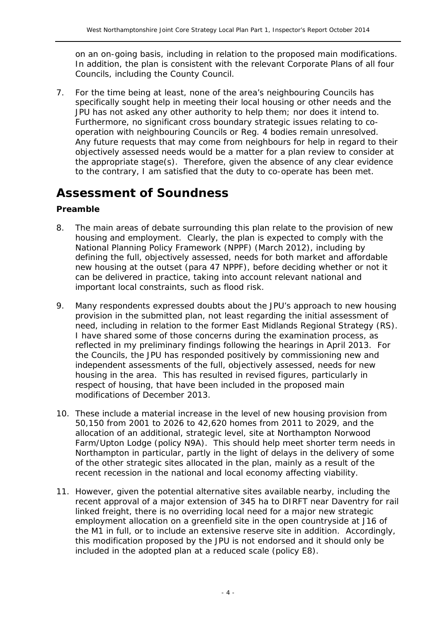on an on-going basis, including in relation to the proposed main modifications. In addition, the plan is consistent with the relevant Corporate Plans of all four Councils, including the County Council.

7. For the time being at least, none of the area's neighbouring Councils has specifically sought help in meeting their local housing or other needs and the JPU has not asked any other authority to help them; nor does it intend to. Furthermore, no significant cross boundary strategic issues relating to cooperation with neighbouring Councils or Reg. 4 bodies remain unresolved. Any future requests that may come from neighbours for help in regard to their objectively assessed needs would be a matter for a plan review to consider at the appropriate stage(s). Therefore, given the absence of any clear evidence to the contrary, I am satisfied that the duty to co-operate has been met.

### **Assessment of Soundness**

#### **Preamble**

- 8. The main areas of debate surrounding this plan relate to the provision of new housing and employment. Clearly, the plan is expected to comply with the National Planning Policy Framework (NPPF) (March 2012), including by defining the full, objectively assessed, needs for both market and affordable new housing at the outset (para 47 NPPF), before deciding whether or not it can be delivered in practice, taking into account relevant national and important local constraints, such as flood risk.
- 9. Many respondents expressed doubts about the JPU's approach to new housing provision in the submitted plan, not least regarding the initial assessment of need, including in relation to the former East Midlands Regional Strategy (RS). I have shared some of those concerns during the examination process, as reflected in my preliminary findings following the hearings in April 2013. For the Councils, the JPU has responded positively by commissioning new and independent assessments of the full, objectively assessed, needs for new housing in the area. This has resulted in revised figures, particularly in respect of housing, that have been included in the proposed main modifications of December 2013.
- 10. These include a material increase in the level of new housing provision from 50,150 from 2001 to 2026 to 42,620 homes from 2011 to 2029, and the allocation of an additional, strategic level, site at Northampton Norwood Farm/Upton Lodge (policy N9A). This should help meet shorter term needs in Northampton in particular, partly in the light of delays in the delivery of some of the other strategic sites allocated in the plan, mainly as a result of the recent recession in the national and local economy affecting viability.
- 11. However, given the potential alternative sites available nearby, including the recent approval of a major extension of 345 ha to DIRFT near Daventry for rail linked freight, there is no overriding local need for a major new strategic employment allocation on a greenfield site in the open countryside at J16 of the M1 in full, or to include an extensive reserve site in addition. Accordingly, this modification proposed by the JPU is not endorsed and it should only be included in the adopted plan at a reduced scale (policy E8).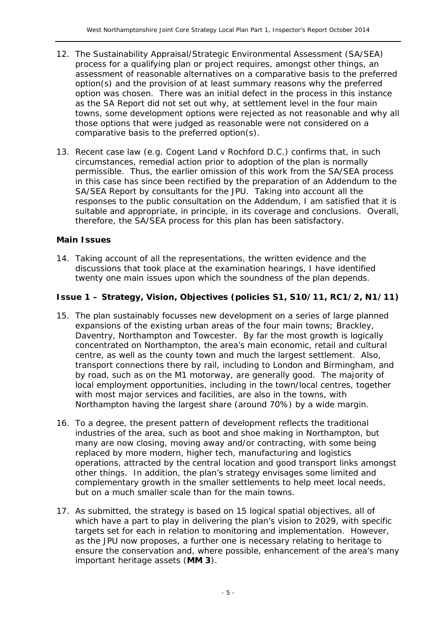- 12. The Sustainability Appraisal/Strategic Environmental Assessment (SA/SEA) process for a qualifying plan or project requires, amongst other things, an assessment of reasonable alternatives on a comparative basis to the preferred option(s) and the provision of at least summary reasons why the preferred option was chosen. There was an initial defect in the process in this instance as the SA Report did not set out why, at settlement level in the four main towns, some development options were rejected as not reasonable and why all those options that were judged as reasonable were not considered on a comparative basis to the preferred option(s).
- 13. Recent case law (e.g. Cogent Land v Rochford D.C.) confirms that, in such circumstances, remedial action prior to adoption of the plan is normally permissible. Thus, the earlier omission of this work from the SA/SEA process in this case has since been rectified by the preparation of an Addendum to the SA/SEA Report by consultants for the JPU. Taking into account all the responses to the public consultation on the Addendum, I am satisfied that it is suitable and appropriate, in principle, in its coverage and conclusions. Overall, therefore, the SA/SEA process for this plan has been satisfactory.

#### **Main Issues**

14. Taking account of all the representations, the written evidence and the discussions that took place at the examination hearings, I have identified twenty one main issues upon which the soundness of the plan depends.

#### **Issue 1 – Strategy, Vision, Objectives (policies S1, S10/11, RC1/2, N1/11)**

- 15. The plan sustainably focusses new development on a series of large planned expansions of the existing urban areas of the four main towns; Brackley, Daventry, Northampton and Towcester. By far the most growth is logically concentrated on Northampton, the area's main economic, retail and cultural centre, as well as the county town and much the largest settlement. Also, transport connections there by rail, including to London and Birmingham, and by road, such as on the M1 motorway, are generally good. The majority of local employment opportunities, including in the town/local centres, together with most major services and facilities, are also in the towns, with Northampton having the largest share (around 70%) by a wide margin.
- 16. To a degree, the present pattern of development reflects the traditional industries of the area, such as boot and shoe making in Northampton, but many are now closing, moving away and/or contracting, with some being replaced by more modern, higher tech, manufacturing and logistics operations, attracted by the central location and good transport links amongst other things. In addition, the plan's strategy envisages some limited and complementary growth in the smaller settlements to help meet local needs, but on a much smaller scale than for the main towns.
- 17. As submitted, the strategy is based on 15 logical spatial objectives, all of which have a part to play in delivering the plan's vision to 2029, with specific targets set for each in relation to monitoring and implementation. However, as the JPU now proposes, a further one is necessary relating to heritage to ensure the conservation and, where possible, enhancement of the area's many important heritage assets (**MM 3**).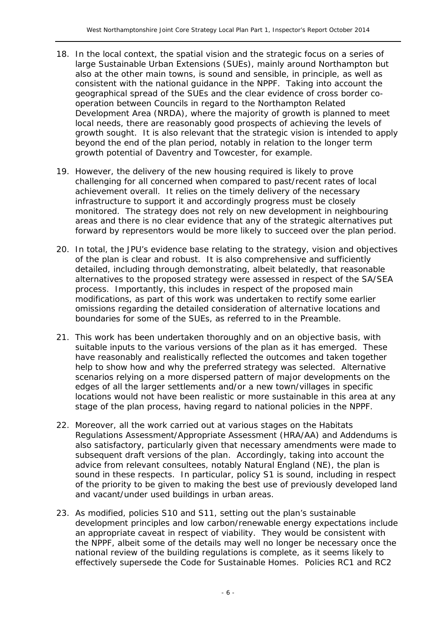- 18. In the local context, the spatial vision and the strategic focus on a series of large Sustainable Urban Extensions (SUEs), mainly around Northampton but also at the other main towns, is sound and sensible, in principle, as well as consistent with the national guidance in the NPPF. Taking into account the geographical spread of the SUEs and the clear evidence of cross border cooperation between Councils in regard to the Northampton Related Development Area (NRDA), where the majority of growth is planned to meet local needs, there are reasonably good prospects of achieving the levels of growth sought. It is also relevant that the strategic vision is intended to apply beyond the end of the plan period, notably in relation to the longer term growth potential of Daventry and Towcester, for example.
- 19. However, the delivery of the new housing required is likely to prove challenging for all concerned when compared to past/recent rates of local achievement overall. It relies on the timely delivery of the necessary infrastructure to support it and accordingly progress must be closely monitored. The strategy does not rely on new development in neighbouring areas and there is no clear evidence that any of the strategic alternatives put forward by representors would be more likely to succeed over the plan period.
- 20. In total, the JPU's evidence base relating to the strategy, vision and objectives of the plan is clear and robust. It is also comprehensive and sufficiently detailed, including through demonstrating, albeit belatedly, that reasonable alternatives to the proposed strategy were assessed in respect of the SA/SEA process. Importantly, this includes in respect of the proposed main modifications, as part of this work was undertaken to rectify some earlier omissions regarding the detailed consideration of alternative locations and boundaries for some of the SUEs, as referred to in the Preamble.
- 21. This work has been undertaken thoroughly and on an objective basis, with suitable inputs to the various versions of the plan as it has emerged. These have reasonably and realistically reflected the outcomes and taken together help to show how and why the preferred strategy was selected. Alternative scenarios relying on a more dispersed pattern of major developments on the edges of all the larger settlements and/or a new town/villages in specific locations would not have been realistic or more sustainable in this area at any stage of the plan process, having regard to national policies in the NPPF.
- 22. Moreover, all the work carried out at various stages on the Habitats Regulations Assessment/Appropriate Assessment (HRA/AA) and Addendums is also satisfactory, particularly given that necessary amendments were made to subsequent draft versions of the plan. Accordingly, taking into account the advice from relevant consultees, notably Natural England (NE), the plan is sound in these respects. In particular, policy S1 is sound, including in respect of the priority to be given to making the best use of previously developed land and vacant/under used buildings in urban areas.
- 23. As modified, policies S10 and S11, setting out the plan's sustainable development principles and low carbon/renewable energy expectations include an appropriate caveat in respect of viability. They would be consistent with the NPPF, albeit some of the details may well no longer be necessary once the national review of the building regulations is complete, as it seems likely to effectively supersede the Code for Sustainable Homes. Policies RC1 and RC2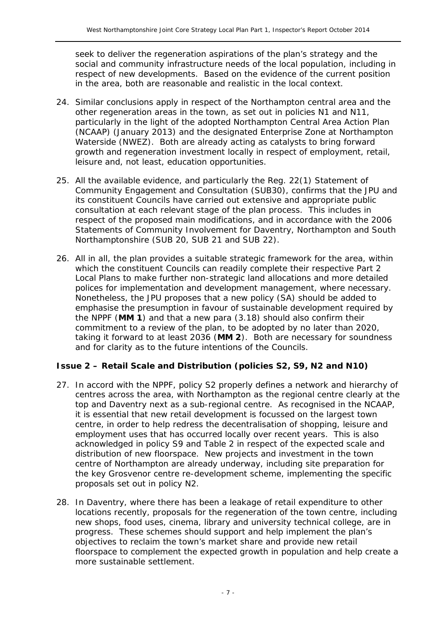seek to deliver the regeneration aspirations of the plan's strategy and the social and community infrastructure needs of the local population, including in respect of new developments. Based on the evidence of the current position in the area, both are reasonable and realistic in the local context.

- 24. Similar conclusions apply in respect of the Northampton central area and the other regeneration areas in the town, as set out in policies N1 and N11, particularly in the light of the adopted Northampton Central Area Action Plan (NCAAP) (January 2013) and the designated Enterprise Zone at Northampton Waterside (NWEZ). Both are already acting as catalysts to bring forward growth and regeneration investment locally in respect of employment, retail, leisure and, not least, education opportunities.
- 25. All the available evidence, and particularly the Reg. 22(1) Statement of Community Engagement and Consultation (SUB30), confirms that the JPU and its constituent Councils have carried out extensive and appropriate public consultation at each relevant stage of the plan process. This includes in respect of the proposed main modifications, and in accordance with the 2006 Statements of Community Involvement for Daventry, Northampton and South Northamptonshire (SUB 20, SUB 21 and SUB 22).
- 26. All in all, the plan provides a suitable strategic framework for the area, within which the constituent Councils can readily complete their respective Part 2 Local Plans to make further non-strategic land allocations and more detailed polices for implementation and development management, where necessary. Nonetheless, the JPU proposes that a new policy (SA) should be added to emphasise the presumption in favour of sustainable development required by the NPPF (**MM 1**) and that a new para (3.18) should also confirm their commitment to a review of the plan, to be adopted by no later than 2020, taking it forward to at least 2036 (**MM 2**). Both are necessary for soundness and for clarity as to the future intentions of the Councils.

#### **Issue 2 – Retail Scale and Distribution (policies S2, S9, N2 and N10)**

- 27. In accord with the NPPF, policy S2 properly defines a network and hierarchy of centres across the area, with Northampton as the regional centre clearly at the top and Daventry next as a sub-regional centre. As recognised in the NCAAP, it is essential that new retail development is focussed on the largest town centre, in order to help redress the decentralisation of shopping, leisure and employment uses that has occurred locally over recent years. This is also acknowledged in policy S9 and Table 2 in respect of the expected scale and distribution of new floorspace. New projects and investment in the town centre of Northampton are already underway, including site preparation for the key Grosvenor centre re-development scheme, implementing the specific proposals set out in policy N2.
- 28. In Daventry, where there has been a leakage of retail expenditure to other locations recently, proposals for the regeneration of the town centre, including new shops, food uses, cinema, library and university technical college, are in progress. These schemes should support and help implement the plan's objectives to reclaim the town's market share and provide new retail floorspace to complement the expected growth in population and help create a more sustainable settlement.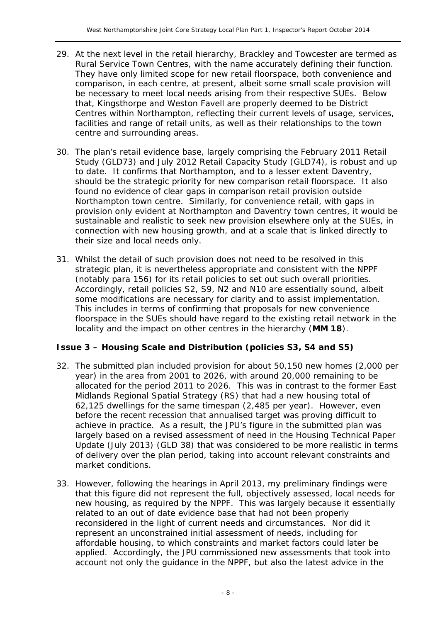- 29. At the next level in the retail hierarchy, Brackley and Towcester are termed as Rural Service Town Centres, with the name accurately defining their function. They have only limited scope for new retail floorspace, both convenience and comparison, in each centre, at present, albeit some small scale provision will be necessary to meet local needs arising from their respective SUEs. Below that, Kingsthorpe and Weston Favell are properly deemed to be District Centres within Northampton, reflecting their current levels of usage, services, facilities and range of retail units, as well as their relationships to the town centre and surrounding areas.
- 30. The plan's retail evidence base, largely comprising the February 2011 Retail Study (GLD73) and July 2012 Retail Capacity Study (GLD74), is robust and up to date. It confirms that Northampton, and to a lesser extent Daventry, should be the strategic priority for new comparison retail floorspace. It also found no evidence of clear gaps in comparison retail provision outside Northampton town centre. Similarly, for convenience retail, with gaps in provision only evident at Northampton and Daventry town centres, it would be sustainable and realistic to seek new provision elsewhere only at the SUEs, in connection with new housing growth, and at a scale that is linked directly to their size and local needs only.
- 31. Whilst the detail of such provision does not need to be resolved in this strategic plan, it is nevertheless appropriate and consistent with the NPPF (notably para 156) for its retail policies to set out such overall priorities. Accordingly, retail policies S2, S9, N2 and N10 are essentially sound, albeit some modifications are necessary for clarity and to assist implementation. This includes in terms of confirming that proposals for new convenience floorspace in the SUEs should have regard to the existing retail network in the locality and the impact on other centres in the hierarchy (**MM 18**).

#### **Issue 3 – Housing Scale and Distribution (policies S3, S4 and S5)**

- 32. The submitted plan included provision for about 50,150 new homes (2,000 per year) in the area from 2001 to 2026, with around 20,000 remaining to be allocated for the period 2011 to 2026. This was in contrast to the former East Midlands Regional Spatial Strategy (RS) that had a new housing total of 62,125 dwellings for the same timespan (2,485 per year). However, even before the recent recession that annualised target was proving difficult to achieve in practice. As a result, the JPU's figure in the submitted plan was largely based on a revised assessment of need in the Housing Technical Paper Update (July 2013) (GLD 38) that was considered to be more realistic in terms of delivery over the plan period, taking into account relevant constraints and market conditions.
- 33. However, following the hearings in April 2013, my preliminary findings were that this figure did not represent the full, objectively assessed, local needs for new housing, as required by the NPPF. This was largely because it essentially related to an out of date evidence base that had not been properly reconsidered in the light of current needs and circumstances. Nor did it represent an unconstrained initial assessment of needs, including for affordable housing, to which constraints and market factors could later be applied. Accordingly, the JPU commissioned new assessments that took into account not only the guidance in the NPPF, but also the latest advice in the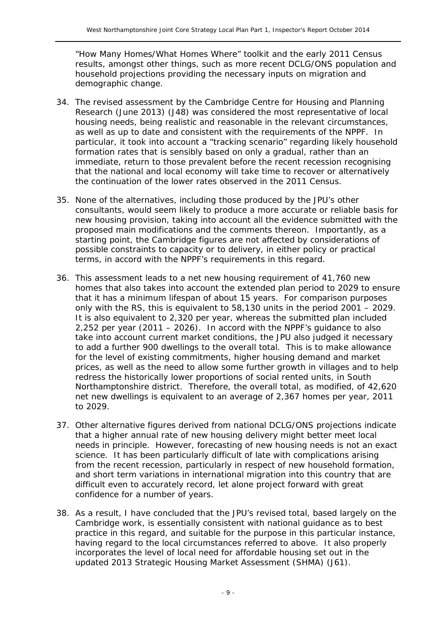"How Many Homes/What Homes Where" toolkit and the early 2011 Census results, amongst other things, such as more recent DCLG/ONS population and household projections providing the necessary inputs on migration and demographic change.

- 34. The revised assessment by the Cambridge Centre for Housing and Planning Research (June 2013) (J48) was considered the most representative of local housing needs, being realistic and reasonable in the relevant circumstances, as well as up to date and consistent with the requirements of the NPPF. In particular, it took into account a "tracking scenario" regarding likely household formation rates that is sensibly based on only a gradual, rather than an immediate, return to those prevalent before the recent recession recognising that the national and local economy will take time to recover or alternatively the continuation of the lower rates observed in the 2011 Census.
- 35. None of the alternatives, including those produced by the JPU's other consultants, would seem likely to produce a more accurate or reliable basis for new housing provision, taking into account all the evidence submitted with the proposed main modifications and the comments thereon. Importantly, as a starting point, the Cambridge figures are not affected by considerations of possible constraints to capacity or to delivery, in either policy or practical terms, in accord with the NPPF's requirements in this regard.
- 36. This assessment leads to a net new housing requirement of 41,760 new homes that also takes into account the extended plan period to 2029 to ensure that it has a minimum lifespan of about 15 years. For comparison purposes only with the RS, this is equivalent to 58,130 units in the period 2001 – 2029. It is also equivalent to 2,320 per year, whereas the submitted plan included 2,252 per year (2011 – 2026). In accord with the NPPF's guidance to also take into account current market conditions, the JPU also judged it necessary to add a further 900 dwellings to the overall total. This is to make allowance for the level of existing commitments, higher housing demand and market prices, as well as the need to allow some further growth in villages and to help redress the historically lower proportions of social rented units, in South Northamptonshire district. Therefore, the overall total, as modified, of 42,620 net new dwellings is equivalent to an average of 2,367 homes per year, 2011 to 2029.
- 37. Other alternative figures derived from national DCLG/ONS projections indicate that a higher annual rate of new housing delivery might better meet local needs in principle. However, forecasting of new housing needs is not an exact science. It has been particularly difficult of late with complications arising from the recent recession, particularly in respect of new household formation, and short term variations in international migration into this country that are difficult even to accurately record, let alone project forward with great confidence for a number of years.
- 38. As a result, I have concluded that the JPU's revised total, based largely on the Cambridge work, is essentially consistent with national guidance as to best practice in this regard, and suitable for the purpose in this particular instance, having regard to the local circumstances referred to above. It also properly incorporates the level of local need for affordable housing set out in the updated 2013 Strategic Housing Market Assessment (SHMA) (J61).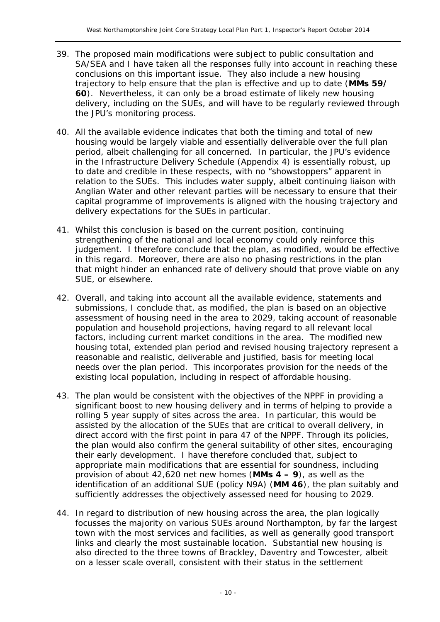- 39. The proposed main modifications were subject to public consultation and SA/SEA and I have taken all the responses fully into account in reaching these conclusions on this important issue. They also include a new housing trajectory to help ensure that the plan is effective and up to date (**MMs 59/ 60**). Nevertheless, it can only be a broad estimate of likely new housing delivery, including on the SUEs, and will have to be regularly reviewed through the JPU's monitoring process.
- 40. All the available evidence indicates that both the timing and total of new housing would be largely viable and essentially deliverable over the full plan period, albeit challenging for all concerned. In particular, the JPU's evidence in the Infrastructure Delivery Schedule (Appendix 4) is essentially robust, up to date and credible in these respects, with no "showstoppers" apparent in relation to the SUEs. This includes water supply, albeit continuing liaison with Anglian Water and other relevant parties will be necessary to ensure that their capital programme of improvements is aligned with the housing trajectory and delivery expectations for the SUEs in particular.
- 41. Whilst this conclusion is based on the current position, continuing strengthening of the national and local economy could only reinforce this judgement. I therefore conclude that the plan, as modified, would be effective in this regard. Moreover, there are also no phasing restrictions in the plan that might hinder an enhanced rate of delivery should that prove viable on any SUE, or elsewhere.
- 42. Overall, and taking into account all the available evidence, statements and submissions, I conclude that, as modified, the plan is based on an objective assessment of housing need in the area to 2029, taking account of reasonable population and household projections, having regard to all relevant local factors, including current market conditions in the area. The modified new housing total, extended plan period and revised housing trajectory represent a reasonable and realistic, deliverable and justified, basis for meeting local needs over the plan period. This incorporates provision for the needs of the existing local population, including in respect of affordable housing.
- 43. The plan would be consistent with the objectives of the NPPF in providing a significant boost to new housing delivery and in terms of helping to provide a rolling 5 year supply of sites across the area. In particular, this would be assisted by the allocation of the SUEs that are critical to overall delivery, in direct accord with the first point in para 47 of the NPPF. Through its policies, the plan would also confirm the general suitability of other sites, encouraging their early development. I have therefore concluded that, subject to appropriate main modifications that are essential for soundness, including provision of about 42,620 net new homes (**MMs 4 – 9**), as well as the identification of an additional SUE (policy N9A) (**MM 46**), the plan suitably and sufficiently addresses the objectively assessed need for housing to 2029.
- 44. In regard to distribution of new housing across the area, the plan logically focusses the majority on various SUEs around Northampton, by far the largest town with the most services and facilities, as well as generally good transport links and clearly the most sustainable location. Substantial new housing is also directed to the three towns of Brackley, Daventry and Towcester, albeit on a lesser scale overall, consistent with their status in the settlement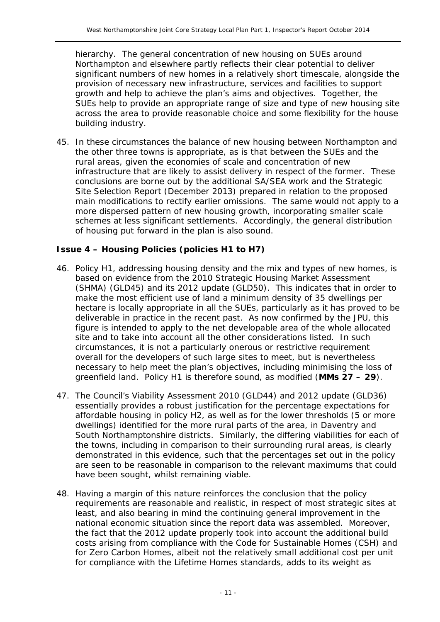hierarchy. The general concentration of new housing on SUEs around Northampton and elsewhere partly reflects their clear potential to deliver significant numbers of new homes in a relatively short timescale, alongside the provision of necessary new infrastructure, services and facilities to support growth and help to achieve the plan's aims and objectives. Together, the SUEs help to provide an appropriate range of size and type of new housing site across the area to provide reasonable choice and some flexibility for the house building industry.

45. In these circumstances the balance of new housing between Northampton and the other three towns is appropriate, as is that between the SUEs and the rural areas, given the economies of scale and concentration of new infrastructure that are likely to assist delivery in respect of the former. These conclusions are borne out by the additional SA/SEA work and the Strategic Site Selection Report (December 2013) prepared in relation to the proposed main modifications to rectify earlier omissions. The same would not apply to a more dispersed pattern of new housing growth, incorporating smaller scale schemes at less significant settlements. Accordingly, the general distribution of housing put forward in the plan is also sound.

#### **Issue 4 – Housing Policies (policies H1 to H7)**

- 46. Policy H1, addressing housing density and the mix and types of new homes, is based on evidence from the 2010 Strategic Housing Market Assessment (SHMA) (GLD45) and its 2012 update (GLD50). This indicates that in order to make the most efficient use of land a minimum density of 35 dwellings per hectare is locally appropriate in all the SUEs, particularly as it has proved to be deliverable in practice in the recent past. As now confirmed by the JPU, this figure is intended to apply to the net developable area of the whole allocated site and to take into account all the other considerations listed. In such circumstances, it is not a particularly onerous or restrictive requirement overall for the developers of such large sites to meet, but is nevertheless necessary to help meet the plan's objectives, including minimising the loss of greenfield land. Policy H1 is therefore sound, as modified (**MMs 27 – 29**).
- 47. The Council's Viability Assessment 2010 (GLD44) and 2012 update (GLD36) essentially provides a robust justification for the percentage expectations for affordable housing in policy H2, as well as for the lower thresholds (5 or more dwellings) identified for the more rural parts of the area, in Daventry and South Northamptonshire districts. Similarly, the differing viabilities for each of the towns, including in comparison to their surrounding rural areas, is clearly demonstrated in this evidence, such that the percentages set out in the policy are seen to be reasonable in comparison to the relevant maximums that could have been sought, whilst remaining viable.
- 48. Having a margin of this nature reinforces the conclusion that the policy requirements are reasonable and realistic, in respect of most strategic sites at least, and also bearing in mind the continuing general improvement in the national economic situation since the report data was assembled. Moreover, the fact that the 2012 update properly took into account the additional build costs arising from compliance with the Code for Sustainable Homes (CSH) and for Zero Carbon Homes, albeit not the relatively small additional cost per unit for compliance with the Lifetime Homes standards, adds to its weight as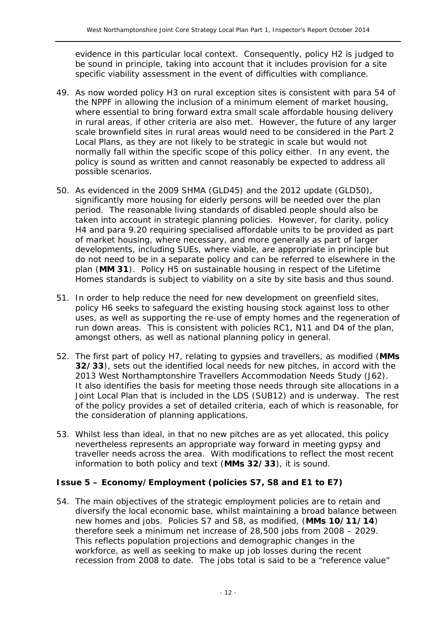evidence in this particular local context. Consequently, policy H2 is judged to be sound in principle, taking into account that it includes provision for a site specific viability assessment in the event of difficulties with compliance.

- 49. As now worded policy H3 on rural exception sites is consistent with para 54 of the NPPF in allowing the inclusion of a minimum element of market housing, where essential to bring forward extra small scale affordable housing delivery in rural areas, if other criteria are also met. However, the future of any larger scale brownfield sites in rural areas would need to be considered in the Part 2 Local Plans, as they are not likely to be strategic in scale but would not normally fall within the specific scope of this policy either. In any event, the policy is sound as written and cannot reasonably be expected to address all possible scenarios.
- 50. As evidenced in the 2009 SHMA (GLD45) and the 2012 update (GLD50), significantly more housing for elderly persons will be needed over the plan period. The reasonable living standards of disabled people should also be taken into account in strategic planning policies. However, for clarity, policy H4 and para 9.20 requiring specialised affordable units to be provided as part of market housing, where necessary, and more generally as part of larger developments, including SUEs, where viable, are appropriate in principle but do not need to be in a separate policy and can be referred to elsewhere in the plan (**MM 31**). Policy H5 on sustainable housing in respect of the Lifetime Homes standards is subject to viability on a site by site basis and thus sound.
- 51. In order to help reduce the need for new development on greenfield sites, policy H6 seeks to safeguard the existing housing stock against loss to other uses, as well as supporting the re-use of empty homes and the regeneration of run down areas. This is consistent with policies RC1, N11 and D4 of the plan, amongst others, as well as national planning policy in general.
- 52. The first part of policy H7, relating to gypsies and travellers, as modified (**MMs 32/33**), sets out the identified local needs for new pitches, in accord with the 2013 West Northamptonshire Travellers Accommodation Needs Study (J62). It also identifies the basis for meeting those needs through site allocations in a Joint Local Plan that is included in the LDS (SUB12) and is underway. The rest of the policy provides a set of detailed criteria, each of which is reasonable, for the consideration of planning applications.
- 53. Whilst less than ideal, in that no new pitches are as yet allocated, this policy nevertheless represents an appropriate way forward in meeting gypsy and traveller needs across the area. With modifications to reflect the most recent information to both policy and text (**MMs 32/33**), it is sound.

#### **Issue 5 – Economy/Employment (policies S7, S8 and E1 to E7)**

54. The main objectives of the strategic employment policies are to retain and diversify the local economic base, whilst maintaining a broad balance between new homes and jobs. Policies S7 and S8, as modified, (**MMs 10/11/14**) therefore seek a minimum net increase of 28,500 jobs from 2008 – 2029. This reflects population projections and demographic changes in the workforce, as well as seeking to make up job losses during the recent recession from 2008 to date. The jobs total is said to be a "reference value"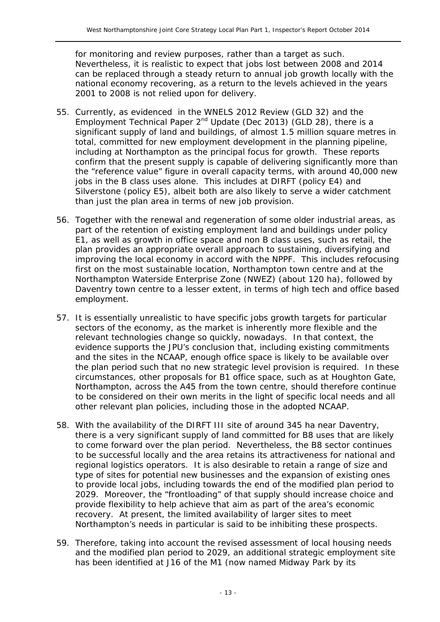for monitoring and review purposes, rather than a target as such. Nevertheless, it is realistic to expect that jobs lost between 2008 and 2014 can be replaced through a steady return to annual job growth locally with the national economy recovering, as a return to the levels achieved in the years 2001 to 2008 is not relied upon for delivery.

- 55. Currently, as evidenced in the WNELS 2012 Review (GLD 32) and the Employment Technical Paper  $2^{nd}$  Update (Dec 2013) (GLD 28), there is a significant supply of land and buildings, of almost 1.5 million square metres in total, committed for new employment development in the planning pipeline, including at Northampton as the principal focus for growth. These reports confirm that the present supply is capable of delivering significantly more than the "reference value" figure in overall capacity terms, with around 40,000 new jobs in the B class uses alone. This includes at DIRFT (policy E4) and Silverstone (policy E5), albeit both are also likely to serve a wider catchment than just the plan area in terms of new job provision.
- 56. Together with the renewal and regeneration of some older industrial areas, as part of the retention of existing employment land and buildings under policy E1, as well as growth in office space and non B class uses, such as retail, the plan provides an appropriate overall approach to sustaining, diversifying and improving the local economy in accord with the NPPF. This includes refocusing first on the most sustainable location, Northampton town centre and at the Northampton Waterside Enterprise Zone (NWEZ) (about 120 ha), followed by Daventry town centre to a lesser extent, in terms of high tech and office based employment.
- 57. It is essentially unrealistic to have specific jobs growth targets for particular sectors of the economy, as the market is inherently more flexible and the relevant technologies change so quickly, nowadays. In that context, the evidence supports the JPU's conclusion that, including existing commitments and the sites in the NCAAP, enough office space is likely to be available over the plan period such that no new strategic level provision is required. In these circumstances, other proposals for B1 office space, such as at Houghton Gate, Northampton, across the A45 from the town centre, should therefore continue to be considered on their own merits in the light of specific local needs and all other relevant plan policies, including those in the adopted NCAAP.
- 58. With the availability of the DIRFT III site of around 345 ha near Daventry, there is a very significant supply of land committed for B8 uses that are likely to come forward over the plan period. Nevertheless, the B8 sector continues to be successful locally and the area retains its attractiveness for national and regional logistics operators. It is also desirable to retain a range of size and type of sites for potential new businesses and the expansion of existing ones to provide local jobs, including towards the end of the modified plan period to 2029. Moreover, the "frontloading" of that supply should increase choice and provide flexibility to help achieve that aim as part of the area's economic recovery. At present, the limited availability of larger sites to meet Northampton's needs in particular is said to be inhibiting these prospects.
- 59. Therefore, taking into account the revised assessment of local housing needs and the modified plan period to 2029, an additional strategic employment site has been identified at J16 of the M1 (now named Midway Park by its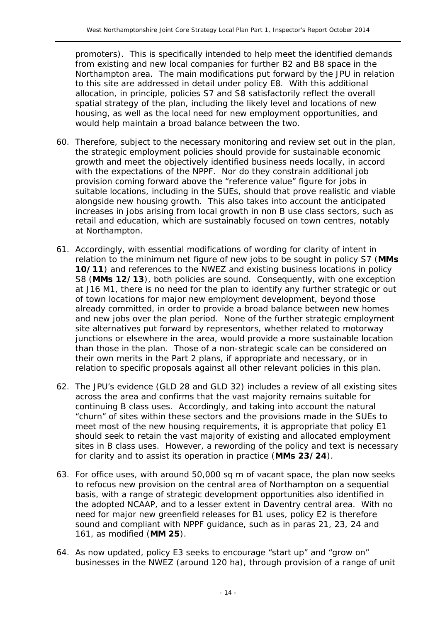promoters). This is specifically intended to help meet the identified demands from existing and new local companies for further B2 and B8 space in the Northampton area. The main modifications put forward by the JPU in relation to this site are addressed in detail under policy E8. With this additional allocation, in principle, policies S7 and S8 satisfactorily reflect the overall spatial strategy of the plan, including the likely level and locations of new housing, as well as the local need for new employment opportunities, and would help maintain a broad balance between the two.

- 60. Therefore, subject to the necessary monitoring and review set out in the plan, the strategic employment policies should provide for sustainable economic growth and meet the objectively identified business needs locally, in accord with the expectations of the NPPF. Nor do they constrain additional job provision coming forward above the "reference value" figure for jobs in suitable locations, including in the SUEs, should that prove realistic and viable alongside new housing growth. This also takes into account the anticipated increases in jobs arising from local growth in non B use class sectors, such as retail and education, which are sustainably focused on town centres, notably at Northampton.
- 61. Accordingly, with essential modifications of wording for clarity of intent in relation to the minimum net figure of new jobs to be sought in policy S7 (**MMs 10/11**) and references to the NWEZ and existing business locations in policy S8 (**MMs 12/13**), both policies are sound. Consequently, with one exception at J16 M1, there is no need for the plan to identify any further strategic or out of town locations for major new employment development, beyond those already committed, in order to provide a broad balance between new homes and new jobs over the plan period. None of the further strategic employment site alternatives put forward by representors, whether related to motorway junctions or elsewhere in the area, would provide a more sustainable location than those in the plan. Those of a non-strategic scale can be considered on their own merits in the Part 2 plans, if appropriate and necessary, or in relation to specific proposals against all other relevant policies in this plan.
- 62. The JPU's evidence (GLD 28 and GLD 32) includes a review of all existing sites across the area and confirms that the vast majority remains suitable for continuing B class uses. Accordingly, and taking into account the natural "churn" of sites within these sectors and the provisions made in the SUEs to meet most of the new housing requirements, it is appropriate that policy E1 should seek to retain the vast majority of existing and allocated employment sites in B class uses. However, a rewording of the policy and text is necessary for clarity and to assist its operation in practice (**MMs 23/24**).
- 63. For office uses, with around 50,000 sq m of vacant space, the plan now seeks to refocus new provision on the central area of Northampton on a sequential basis, with a range of strategic development opportunities also identified in the adopted NCAAP, and to a lesser extent in Daventry central area. With no need for major new greenfield releases for B1 uses, policy E2 is therefore sound and compliant with NPPF guidance, such as in paras 21, 23, 24 and 161, as modified (**MM 25**).
- 64. As now updated, policy E3 seeks to encourage "start up" and "grow on" businesses in the NWEZ (around 120 ha), through provision of a range of unit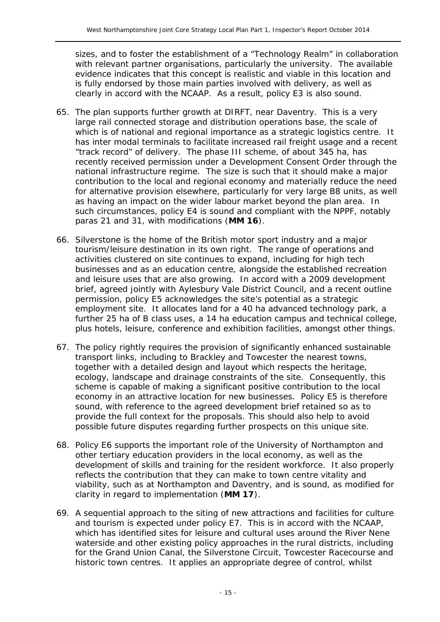sizes, and to foster the establishment of a "Technology Realm" in collaboration with relevant partner organisations, particularly the university. The available evidence indicates that this concept is realistic and viable in this location and is fully endorsed by those main parties involved with delivery, as well as clearly in accord with the NCAAP. As a result, policy E3 is also sound.

- 65. The plan supports further growth at DIRFT, near Daventry. This is a very large rail connected storage and distribution operations base, the scale of which is of national and regional importance as a strategic logistics centre. It has inter modal terminals to facilitate increased rail freight usage and a recent "track record" of delivery. The phase III scheme, of about 345 ha, has recently received permission under a Development Consent Order through the national infrastructure regime. The size is such that it should make a major contribution to the local and regional economy and materially reduce the need for alternative provision elsewhere, particularly for very large B8 units, as well as having an impact on the wider labour market beyond the plan area. In such circumstances, policy E4 is sound and compliant with the NPPF, notably paras 21 and 31, with modifications (**MM 16**).
- 66. Silverstone is the home of the British motor sport industry and a major tourism/leisure destination in its own right. The range of operations and activities clustered on site continues to expand, including for high tech businesses and as an education centre, alongside the established recreation and leisure uses that are also growing. In accord with a 2009 development brief, agreed jointly with Aylesbury Vale District Council, and a recent outline permission, policy E5 acknowledges the site's potential as a strategic employment site. It allocates land for a 40 ha advanced technology park, a further 25 ha of B class uses, a 14 ha education campus and technical college, plus hotels, leisure, conference and exhibition facilities, amongst other things.
- 67. The policy rightly requires the provision of significantly enhanced sustainable transport links, including to Brackley and Towcester the nearest towns, together with a detailed design and layout which respects the heritage, ecology, landscape and drainage constraints of the site. Consequently, this scheme is capable of making a significant positive contribution to the local economy in an attractive location for new businesses. Policy E5 is therefore sound, with reference to the agreed development brief retained so as to provide the full context for the proposals. This should also help to avoid possible future disputes regarding further prospects on this unique site.
- 68. Policy E6 supports the important role of the University of Northampton and other tertiary education providers in the local economy, as well as the development of skills and training for the resident workforce. It also properly reflects the contribution that they can make to town centre vitality and viability, such as at Northampton and Daventry, and is sound, as modified for clarity in regard to implementation (**MM 17**).
- 69. A sequential approach to the siting of new attractions and facilities for culture and tourism is expected under policy E7. This is in accord with the NCAAP, which has identified sites for leisure and cultural uses around the River Nene waterside and other existing policy approaches in the rural districts, including for the Grand Union Canal, the Silverstone Circuit, Towcester Racecourse and historic town centres. It applies an appropriate degree of control, whilst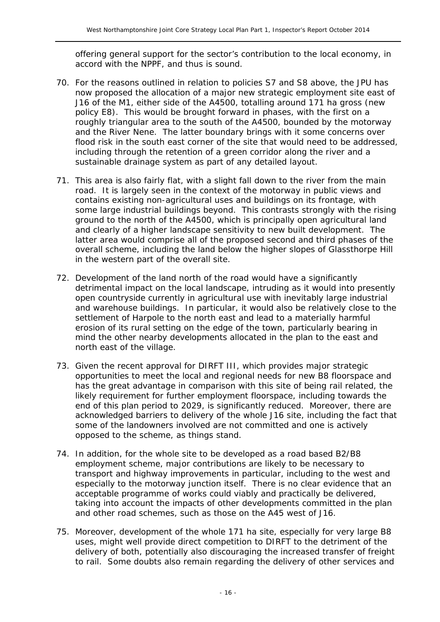offering general support for the sector's contribution to the local economy, in accord with the NPPF, and thus is sound.

- 70. For the reasons outlined in relation to policies S7 and S8 above, the JPU has now proposed the allocation of a major new strategic employment site east of J16 of the M1, either side of the A4500, totalling around 171 ha gross (new policy E8). This would be brought forward in phases, with the first on a roughly triangular area to the south of the A4500, bounded by the motorway and the River Nene. The latter boundary brings with it some concerns over flood risk in the south east corner of the site that would need to be addressed, including through the retention of a green corridor along the river and a sustainable drainage system as part of any detailed layout.
- 71. This area is also fairly flat, with a slight fall down to the river from the main road. It is largely seen in the context of the motorway in public views and contains existing non-agricultural uses and buildings on its frontage, with some large industrial buildings beyond. This contrasts strongly with the rising ground to the north of the A4500, which is principally open agricultural land and clearly of a higher landscape sensitivity to new built development. The latter area would comprise all of the proposed second and third phases of the overall scheme, including the land below the higher slopes of Glassthorpe Hill in the western part of the overall site.
- 72. Development of the land north of the road would have a significantly detrimental impact on the local landscape, intruding as it would into presently open countryside currently in agricultural use with inevitably large industrial and warehouse buildings. In particular, it would also be relatively close to the settlement of Harpole to the north east and lead to a materially harmful erosion of its rural setting on the edge of the town, particularly bearing in mind the other nearby developments allocated in the plan to the east and north east of the village.
- 73. Given the recent approval for DIRFT III, which provides major strategic opportunities to meet the local and regional needs for new B8 floorspace and has the great advantage in comparison with this site of being rail related, the likely requirement for further employment floorspace, including towards the end of this plan period to 2029, is significantly reduced. Moreover, there are acknowledged barriers to delivery of the whole J16 site, including the fact that some of the landowners involved are not committed and one is actively opposed to the scheme, as things stand.
- 74. In addition, for the whole site to be developed as a road based B2/B8 employment scheme, major contributions are likely to be necessary to transport and highway improvements in particular, including to the west and especially to the motorway junction itself. There is no clear evidence that an acceptable programme of works could viably and practically be delivered, taking into account the impacts of other developments committed in the plan and other road schemes, such as those on the A45 west of J16.
- 75. Moreover, development of the whole 171 ha site, especially for very large B8 uses, might well provide direct competition to DIRFT to the detriment of the delivery of both, potentially also discouraging the increased transfer of freight to rail. Some doubts also remain regarding the delivery of other services and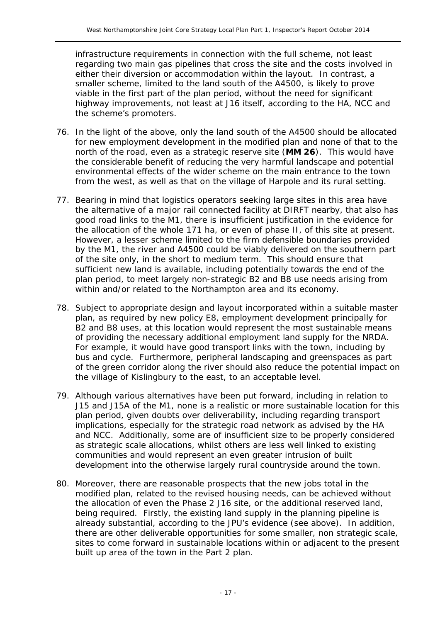infrastructure requirements in connection with the full scheme, not least regarding two main gas pipelines that cross the site and the costs involved in either their diversion or accommodation within the layout. In contrast, a smaller scheme, limited to the land south of the A4500, is likely to prove viable in the first part of the plan period, without the need for significant highway improvements, not least at J16 itself, according to the HA, NCC and the scheme's promoters.

- 76. In the light of the above, only the land south of the A4500 should be allocated for new employment development in the modified plan and none of that to the north of the road, even as a strategic reserve site (**MM 26**). This would have the considerable benefit of reducing the very harmful landscape and potential environmental effects of the wider scheme on the main entrance to the town from the west, as well as that on the village of Harpole and its rural setting.
- 77. Bearing in mind that logistics operators seeking large sites in this area have the alternative of a major rail connected facility at DIRFT nearby, that also has good road links to the M1, there is insufficient justification in the evidence for the allocation of the whole 171 ha, or even of phase II, of this site at present. However, a lesser scheme limited to the firm defensible boundaries provided by the M1, the river and A4500 could be viably delivered on the southern part of the site only, in the short to medium term. This should ensure that sufficient new land is available, including potentially towards the end of the plan period, to meet largely non-strategic B2 and B8 use needs arising from within and/or related to the Northampton area and its economy.
- 78. Subject to appropriate design and layout incorporated within a suitable master plan, as required by new policy E8, employment development principally for B2 and B8 uses, at this location would represent the most sustainable means of providing the necessary additional employment land supply for the NRDA. For example, it would have good transport links with the town, including by bus and cycle. Furthermore, peripheral landscaping and greenspaces as part of the green corridor along the river should also reduce the potential impact on the village of Kislingbury to the east, to an acceptable level.
- 79. Although various alternatives have been put forward, including in relation to J15 and J15A of the M1, none is a realistic or more sustainable location for this plan period, given doubts over deliverability, including regarding transport implications, especially for the strategic road network as advised by the HA and NCC. Additionally, some are of insufficient size to be properly considered as strategic scale allocations, whilst others are less well linked to existing communities and would represent an even greater intrusion of built development into the otherwise largely rural countryside around the town.
- 80. Moreover, there are reasonable prospects that the new jobs total in the modified plan, related to the revised housing needs, can be achieved without the allocation of even the Phase 2 J16 site, or the additional reserved land, being required. Firstly, the existing land supply in the planning pipeline is already substantial, according to the JPU's evidence (see above). In addition, there are other deliverable opportunities for some smaller, non strategic scale, sites to come forward in sustainable locations within or adjacent to the present built up area of the town in the Part 2 plan.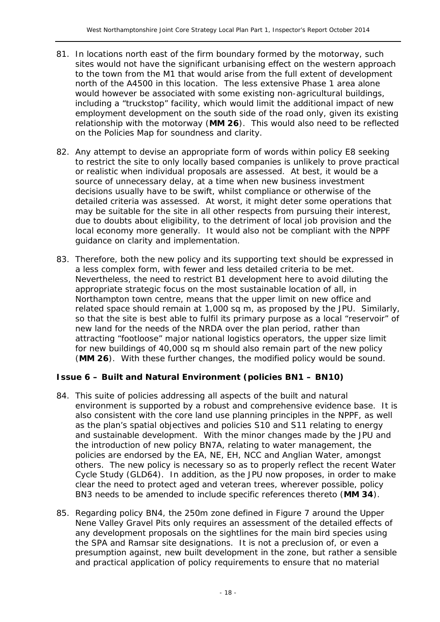- 81. In locations north east of the firm boundary formed by the motorway, such sites would not have the significant urbanising effect on the western approach to the town from the M1 that would arise from the full extent of development north of the A4500 in this location. The less extensive Phase 1 area alone would however be associated with some existing non-agricultural buildings, including a "truckstop" facility, which would limit the additional impact of new employment development on the south side of the road only, given its existing relationship with the motorway (**MM 26**). This would also need to be reflected on the Policies Map for soundness and clarity.
- 82. Any attempt to devise an appropriate form of words within policy E8 seeking to restrict the site to only locally based companies is unlikely to prove practical or realistic when individual proposals are assessed. At best, it would be a source of unnecessary delay, at a time when new business investment decisions usually have to be swift, whilst compliance or otherwise of the detailed criteria was assessed. At worst, it might deter some operations that may be suitable for the site in all other respects from pursuing their interest, due to doubts about eligibility, to the detriment of local job provision and the local economy more generally. It would also not be compliant with the NPPF guidance on clarity and implementation.
- 83. Therefore, both the new policy and its supporting text should be expressed in a less complex form, with fewer and less detailed criteria to be met. Nevertheless, the need to restrict B1 development here to avoid diluting the appropriate strategic focus on the most sustainable location of all, in Northampton town centre, means that the upper limit on new office and related space should remain at 1,000 sq m, as proposed by the JPU. Similarly, so that the site is best able to fulfil its primary purpose as a local "reservoir" of new land for the needs of the NRDA over the plan period, rather than attracting "footloose" major national logistics operators, the upper size limit for new buildings of 40,000 sq m should also remain part of the new policy (**MM 26**). With these further changes, the modified policy would be sound.

#### **Issue 6 – Built and Natural Environment (policies BN1 – BN10)**

- 84. This suite of policies addressing all aspects of the built and natural environment is supported by a robust and comprehensive evidence base. It is also consistent with the core land use planning principles in the NPPF, as well as the plan's spatial objectives and policies S10 and S11 relating to energy and sustainable development. With the minor changes made by the JPU and the introduction of new policy BN7A, relating to water management, the policies are endorsed by the EA, NE, EH, NCC and Anglian Water, amongst others. The new policy is necessary so as to properly reflect the recent Water Cycle Study (GLD64). In addition, as the JPU now proposes, in order to make clear the need to protect aged and veteran trees, wherever possible, policy BN3 needs to be amended to include specific references thereto (**MM 34**).
- 85. Regarding policy BN4, the 250m zone defined in Figure 7 around the Upper Nene Valley Gravel Pits only requires an assessment of the detailed effects of any development proposals on the sightlines for the main bird species using the SPA and Ramsar site designations. It is not a preclusion of, or even a presumption against, new built development in the zone, but rather a sensible and practical application of policy requirements to ensure that no material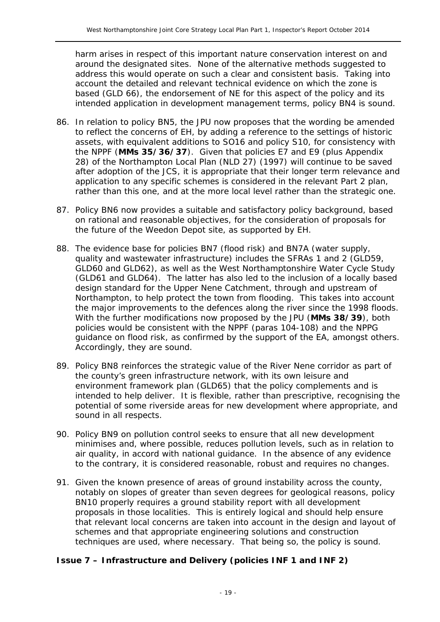harm arises in respect of this important nature conservation interest on and around the designated sites. None of the alternative methods suggested to address this would operate on such a clear and consistent basis. Taking into account the detailed and relevant technical evidence on which the zone is based (GLD 66), the endorsement of NE for this aspect of the policy and its intended application in development management terms, policy BN4 is sound.

- 86. In relation to policy BN5, the JPU now proposes that the wording be amended to reflect the concerns of EH, by adding a reference to the settings of historic assets, with equivalent additions to SO16 and policy S10, for consistency with the NPPF (**MMs 35/36/37**). Given that policies E7 and E9 (plus Appendix 28) of the Northampton Local Plan (NLD 27) (1997) will continue to be saved after adoption of the JCS, it is appropriate that their longer term relevance and application to any specific schemes is considered in the relevant Part 2 plan, rather than this one, and at the more local level rather than the strategic one.
- 87. Policy BN6 now provides a suitable and satisfactory policy background, based on rational and reasonable objectives, for the consideration of proposals for the future of the Weedon Depot site, as supported by EH.
- 88. The evidence base for policies BN7 (flood risk) and BN7A (water supply, quality and wastewater infrastructure) includes the SFRAs 1 and 2 (GLD59, GLD60 and GLD62), as well as the West Northamptonshire Water Cycle Study (GLD61 and GLD64). The latter has also led to the inclusion of a locally based design standard for the Upper Nene Catchment, through and upstream of Northampton, to help protect the town from flooding. This takes into account the major improvements to the defences along the river since the 1998 floods. With the further modifications now proposed by the JPU (**MMs 38/39**), both policies would be consistent with the NPPF (paras 104-108) and the NPPG guidance on flood risk, as confirmed by the support of the EA, amongst others. Accordingly, they are sound.
- 89. Policy BN8 reinforces the strategic value of the River Nene corridor as part of the county's green infrastructure network, with its own leisure and environment framework plan (GLD65) that the policy complements and is intended to help deliver. It is flexible, rather than prescriptive, recognising the potential of some riverside areas for new development where appropriate, and sound in all respects.
- 90. Policy BN9 on pollution control seeks to ensure that all new development minimises and, where possible, reduces pollution levels, such as in relation to air quality, in accord with national guidance. In the absence of any evidence to the contrary, it is considered reasonable, robust and requires no changes.
- 91. Given the known presence of areas of ground instability across the county, notably on slopes of greater than seven degrees for geological reasons, policy BN10 properly requires a ground stability report with all development proposals in those localities. This is entirely logical and should help ensure that relevant local concerns are taken into account in the design and layout of schemes and that appropriate engineering solutions and construction techniques are used, where necessary. That being so, the policy is sound.

#### **Issue 7 – Infrastructure and Delivery (policies INF 1 and INF 2)**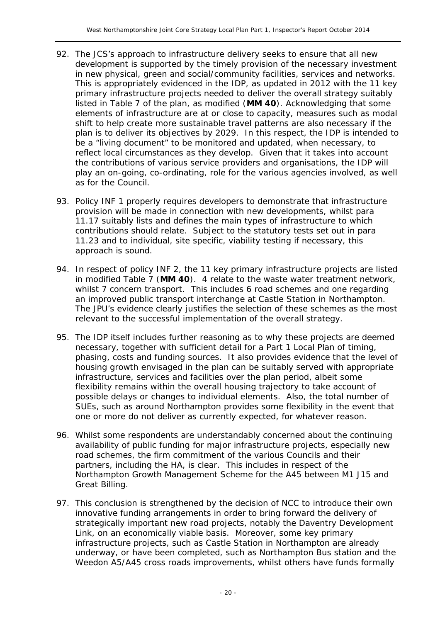- 92. The JCS's approach to infrastructure delivery seeks to ensure that all new development is supported by the timely provision of the necessary investment in new physical, green and social/community facilities, services and networks. This is appropriately evidenced in the IDP, as updated in 2012 with the 11 key primary infrastructure projects needed to deliver the overall strategy suitably listed in Table 7 of the plan, as modified (**MM 40**). Acknowledging that some elements of infrastructure are at or close to capacity, measures such as modal shift to help create more sustainable travel patterns are also necessary if the plan is to deliver its objectives by 2029. In this respect, the IDP is intended to be a "living document" to be monitored and updated, when necessary, to reflect local circumstances as they develop. Given that it takes into account the contributions of various service providers and organisations, the IDP will play an on-going, co-ordinating, role for the various agencies involved, as well as for the Council.
- 93. Policy INF 1 properly requires developers to demonstrate that infrastructure provision will be made in connection with new developments, whilst para 11.17 suitably lists and defines the main types of infrastructure to which contributions should relate. Subject to the statutory tests set out in para 11.23 and to individual, site specific, viability testing if necessary, this approach is sound.
- 94. In respect of policy INF 2, the 11 key primary infrastructure projects are listed in modified Table 7 (**MM 40**). 4 relate to the waste water treatment network, whilst 7 concern transport. This includes 6 road schemes and one regarding an improved public transport interchange at Castle Station in Northampton. The JPU's evidence clearly justifies the selection of these schemes as the most relevant to the successful implementation of the overall strategy.
- 95. The IDP itself includes further reasoning as to why these projects are deemed necessary, together with sufficient detail for a Part 1 Local Plan of timing, phasing, costs and funding sources. It also provides evidence that the level of housing growth envisaged in the plan can be suitably served with appropriate infrastructure, services and facilities over the plan period, albeit some flexibility remains within the overall housing trajectory to take account of possible delays or changes to individual elements. Also, the total number of SUEs, such as around Northampton provides some flexibility in the event that one or more do not deliver as currently expected, for whatever reason.
- 96. Whilst some respondents are understandably concerned about the continuing availability of public funding for major infrastructure projects, especially new road schemes, the firm commitment of the various Councils and their partners, including the HA, is clear. This includes in respect of the Northampton Growth Management Scheme for the A45 between M1 J15 and Great Billing.
- 97. This conclusion is strengthened by the decision of NCC to introduce their own innovative funding arrangements in order to bring forward the delivery of strategically important new road projects, notably the Daventry Development Link, on an economically viable basis. Moreover, some key primary infrastructure projects, such as Castle Station in Northampton are already underway, or have been completed, such as Northampton Bus station and the Weedon A5/A45 cross roads improvements, whilst others have funds formally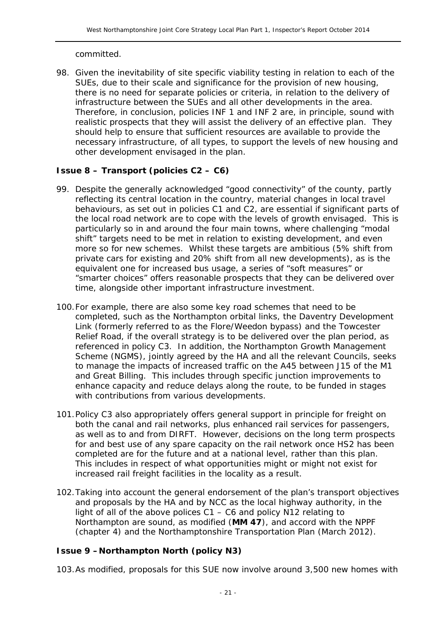committed.

98. Given the inevitability of site specific viability testing in relation to each of the SUEs, due to their scale and significance for the provision of new housing, there is no need for separate policies or criteria, in relation to the delivery of infrastructure between the SUEs and all other developments in the area. Therefore, in conclusion, policies INF 1 and INF 2 are, in principle, sound with realistic prospects that they will assist the delivery of an effective plan. They should help to ensure that sufficient resources are available to provide the necessary infrastructure, of all types, to support the levels of new housing and other development envisaged in the plan.

#### **Issue 8 – Transport (policies C2 – C6)**

- 99. Despite the generally acknowledged "good connectivity" of the county, partly reflecting its central location in the country, material changes in local travel behaviours, as set out in policies C1 and C2, are essential if significant parts of the local road network are to cope with the levels of growth envisaged. This is particularly so in and around the four main towns, where challenging "modal shift" targets need to be met in relation to existing development, and even more so for new schemes. Whilst these targets are ambitious (5% shift from private cars for existing and 20% shift from all new developments), as is the equivalent one for increased bus usage, a series of "soft measures" or "smarter choices" offers reasonable prospects that they can be delivered over time, alongside other important infrastructure investment.
- 100.For example, there are also some key road schemes that need to be completed, such as the Northampton orbital links, the Daventry Development Link (formerly referred to as the Flore/Weedon bypass) and the Towcester Relief Road, if the overall strategy is to be delivered over the plan period, as referenced in policy C3. In addition, the Northampton Growth Management Scheme (NGMS), jointly agreed by the HA and all the relevant Councils, seeks to manage the impacts of increased traffic on the A45 between J15 of the M1 and Great Billing. This includes through specific junction improvements to enhance capacity and reduce delays along the route, to be funded in stages with contributions from various developments.
- 101.Policy C3 also appropriately offers general support in principle for freight on both the canal and rail networks, plus enhanced rail services for passengers, as well as to and from DIRFT. However, decisions on the long term prospects for and best use of any spare capacity on the rail network once HS2 has been completed are for the future and at a national level, rather than this plan. This includes in respect of what opportunities might or might not exist for increased rail freight facilities in the locality as a result.
- 102.Taking into account the general endorsement of the plan's transport objectives and proposals by the HA and by NCC as the local highway authority, in the light of all of the above polices C1 – C6 and policy N12 relating to Northampton are sound, as modified (**MM 47**), and accord with the NPPF (chapter 4) and the Northamptonshire Transportation Plan (March 2012).

#### **Issue 9 –Northampton North (policy N3)**

103.As modified, proposals for this SUE now involve around 3,500 new homes with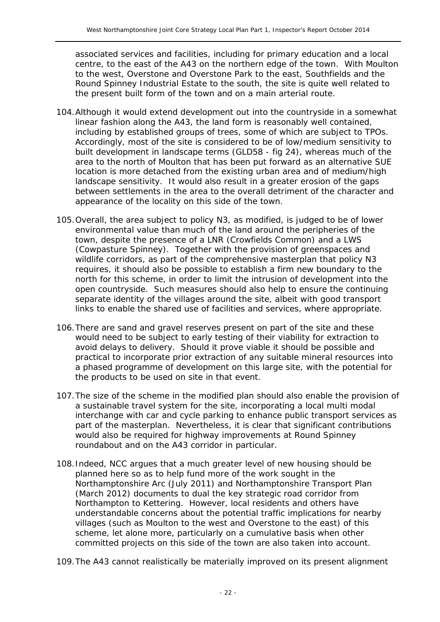associated services and facilities, including for primary education and a local centre, to the east of the A43 on the northern edge of the town. With Moulton to the west, Overstone and Overstone Park to the east, Southfields and the Round Spinney Industrial Estate to the south, the site is quite well related to the present built form of the town and on a main arterial route.

- 104.Although it would extend development out into the countryside in a somewhat linear fashion along the A43, the land form is reasonably well contained, including by established groups of trees, some of which are subject to TPOs. Accordingly, most of the site is considered to be of low/medium sensitivity to built development in landscape terms (GLD58 - fig 24), whereas much of the area to the north of Moulton that has been put forward as an alternative SUE location is more detached from the existing urban area and of medium/high landscape sensitivity. It would also result in a greater erosion of the gaps between settlements in the area to the overall detriment of the character and appearance of the locality on this side of the town.
- 105.Overall, the area subject to policy N3, as modified, is judged to be of lower environmental value than much of the land around the peripheries of the town, despite the presence of a LNR (Crowfields Common) and a LWS (Cowpasture Spinney). Together with the provision of greenspaces and wildlife corridors, as part of the comprehensive masterplan that policy N3 requires, it should also be possible to establish a firm new boundary to the north for this scheme, in order to limit the intrusion of development into the open countryside. Such measures should also help to ensure the continuing separate identity of the villages around the site, albeit with good transport links to enable the shared use of facilities and services, where appropriate.
- 106.There are sand and gravel reserves present on part of the site and these would need to be subject to early testing of their viability for extraction to avoid delays to delivery. Should it prove viable it should be possible and practical to incorporate prior extraction of any suitable mineral resources into a phased programme of development on this large site, with the potential for the products to be used on site in that event.
- 107.The size of the scheme in the modified plan should also enable the provision of a sustainable travel system for the site, incorporating a local multi modal interchange with car and cycle parking to enhance public transport services as part of the masterplan. Nevertheless, it is clear that significant contributions would also be required for highway improvements at Round Spinney roundabout and on the A43 corridor in particular.
- 108.Indeed, NCC argues that a much greater level of new housing should be planned here so as to help fund more of the work sought in the Northamptonshire Arc (July 2011) and Northamptonshire Transport Plan (March 2012) documents to dual the key strategic road corridor from Northampton to Kettering. However, local residents and others have understandable concerns about the potential traffic implications for nearby villages (such as Moulton to the west and Overstone to the east) of this scheme, let alone more, particularly on a cumulative basis when other committed projects on this side of the town are also taken into account.

109.The A43 cannot realistically be materially improved on its present alignment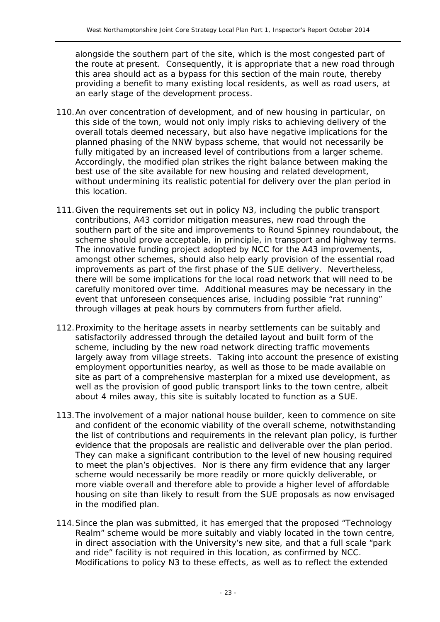alongside the southern part of the site, which is the most congested part of the route at present. Consequently, it is appropriate that a new road through this area should act as a bypass for this section of the main route, thereby providing a benefit to many existing local residents, as well as road users, at an early stage of the development process.

- 110.An over concentration of development, and of new housing in particular, on this side of the town, would not only imply risks to achieving delivery of the overall totals deemed necessary, but also have negative implications for the planned phasing of the NNW bypass scheme, that would not necessarily be fully mitigated by an increased level of contributions from a larger scheme. Accordingly, the modified plan strikes the right balance between making the best use of the site available for new housing and related development, without undermining its realistic potential for delivery over the plan period in this location.
- 111.Given the requirements set out in policy N3, including the public transport contributions, A43 corridor mitigation measures, new road through the southern part of the site and improvements to Round Spinney roundabout, the scheme should prove acceptable, in principle, in transport and highway terms. The innovative funding project adopted by NCC for the A43 improvements, amongst other schemes, should also help early provision of the essential road improvements as part of the first phase of the SUE delivery. Nevertheless, there will be some implications for the local road network that will need to be carefully monitored over time. Additional measures may be necessary in the event that unforeseen consequences arise, including possible "rat running" through villages at peak hours by commuters from further afield.
- 112.Proximity to the heritage assets in nearby settlements can be suitably and satisfactorily addressed through the detailed layout and built form of the scheme, including by the new road network directing traffic movements largely away from village streets. Taking into account the presence of existing employment opportunities nearby, as well as those to be made available on site as part of a comprehensive masterplan for a mixed use development, as well as the provision of good public transport links to the town centre, albeit about 4 miles away, this site is suitably located to function as a SUE.
- 113.The involvement of a major national house builder, keen to commence on site and confident of the economic viability of the overall scheme, notwithstanding the list of contributions and requirements in the relevant plan policy, is further evidence that the proposals are realistic and deliverable over the plan period. They can make a significant contribution to the level of new housing required to meet the plan's objectives. Nor is there any firm evidence that any larger scheme would necessarily be more readily or more quickly deliverable, or more viable overall and therefore able to provide a higher level of affordable housing on site than likely to result from the SUE proposals as now envisaged in the modified plan.
- 114.Since the plan was submitted, it has emerged that the proposed "Technology Realm" scheme would be more suitably and viably located in the town centre, in direct association with the University's new site, and that a full scale "park and ride" facility is not required in this location, as confirmed by NCC. Modifications to policy N3 to these effects, as well as to reflect the extended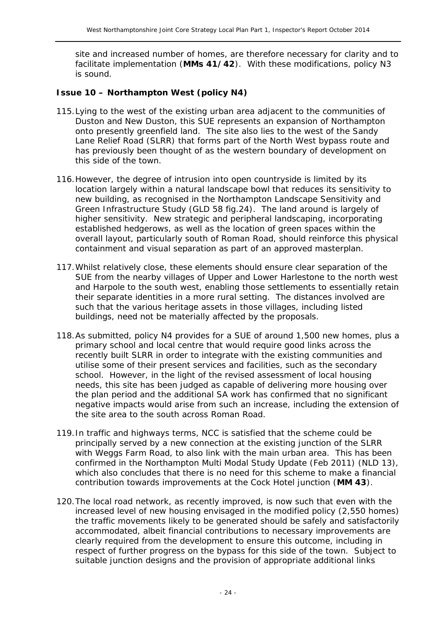site and increased number of homes, are therefore necessary for clarity and to facilitate implementation (**MMs 41/42**). With these modifications, policy N3 is sound.

#### **Issue 10 – Northampton West (policy N4)**

- 115.Lying to the west of the existing urban area adjacent to the communities of Duston and New Duston, this SUE represents an expansion of Northampton onto presently greenfield land. The site also lies to the west of the Sandy Lane Relief Road (SLRR) that forms part of the North West bypass route and has previously been thought of as the western boundary of development on this side of the town.
- 116.However, the degree of intrusion into open countryside is limited by its location largely within a natural landscape bowl that reduces its sensitivity to new building, as recognised in the Northampton Landscape Sensitivity and Green Infrastructure Study (GLD 58 fig.24). The land around is largely of higher sensitivity. New strategic and peripheral landscaping, incorporating established hedgerows, as well as the location of green spaces within the overall layout, particularly south of Roman Road, should reinforce this physical containment and visual separation as part of an approved masterplan.
- 117.Whilst relatively close, these elements should ensure clear separation of the SUE from the nearby villages of Upper and Lower Harlestone to the north west and Harpole to the south west, enabling those settlements to essentially retain their separate identities in a more rural setting. The distances involved are such that the various heritage assets in those villages, including listed buildings, need not be materially affected by the proposals.
- 118.As submitted, policy N4 provides for a SUE of around 1,500 new homes, plus a primary school and local centre that would require good links across the recently built SLRR in order to integrate with the existing communities and utilise some of their present services and facilities, such as the secondary school. However, in the light of the revised assessment of local housing needs, this site has been judged as capable of delivering more housing over the plan period and the additional SA work has confirmed that no significant negative impacts would arise from such an increase, including the extension of the site area to the south across Roman Road.
- 119.In traffic and highways terms, NCC is satisfied that the scheme could be principally served by a new connection at the existing junction of the SLRR with Weggs Farm Road, to also link with the main urban area. This has been confirmed in the Northampton Multi Modal Study Update (Feb 2011) (NLD 13), which also concludes that there is no need for this scheme to make a financial contribution towards improvements at the Cock Hotel junction (**MM 43**).
- 120.The local road network, as recently improved, is now such that even with the increased level of new housing envisaged in the modified policy (2,550 homes) the traffic movements likely to be generated should be safely and satisfactorily accommodated, albeit financial contributions to necessary improvements are clearly required from the development to ensure this outcome, including in respect of further progress on the bypass for this side of the town. Subject to suitable junction designs and the provision of appropriate additional links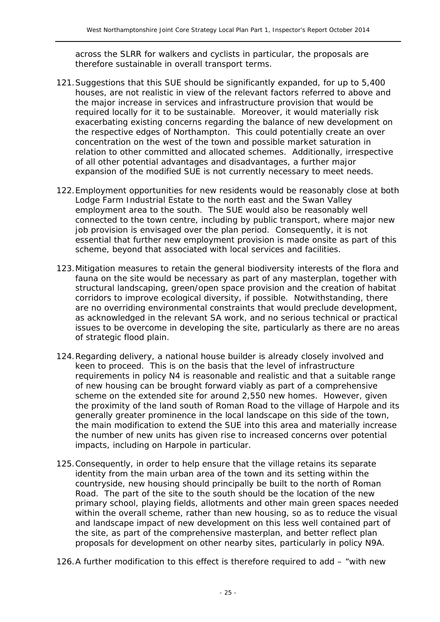across the SLRR for walkers and cyclists in particular, the proposals are therefore sustainable in overall transport terms.

- 121.Suggestions that this SUE should be significantly expanded, for up to 5,400 houses, are not realistic in view of the relevant factors referred to above and the major increase in services and infrastructure provision that would be required locally for it to be sustainable. Moreover, it would materially risk exacerbating existing concerns regarding the balance of new development on the respective edges of Northampton. This could potentially create an over concentration on the west of the town and possible market saturation in relation to other committed and allocated schemes. Additionally, irrespective of all other potential advantages and disadvantages, a further major expansion of the modified SUE is not currently necessary to meet needs.
- 122.Employment opportunities for new residents would be reasonably close at both Lodge Farm Industrial Estate to the north east and the Swan Valley employment area to the south. The SUE would also be reasonably well connected to the town centre, including by public transport, where major new job provision is envisaged over the plan period. Consequently, it is not essential that further new employment provision is made onsite as part of this scheme, beyond that associated with local services and facilities.
- 123.Mitigation measures to retain the general biodiversity interests of the flora and fauna on the site would be necessary as part of any masterplan, together with structural landscaping, green/open space provision and the creation of habitat corridors to improve ecological diversity, if possible. Notwithstanding, there are no overriding environmental constraints that would preclude development, as acknowledged in the relevant SA work, and no serious technical or practical issues to be overcome in developing the site, particularly as there are no areas of strategic flood plain.
- 124.Regarding delivery, a national house builder is already closely involved and keen to proceed. This is on the basis that the level of infrastructure requirements in policy N4 is reasonable and realistic and that a suitable range of new housing can be brought forward viably as part of a comprehensive scheme on the extended site for around 2,550 new homes. However, given the proximity of the land south of Roman Road to the village of Harpole and its generally greater prominence in the local landscape on this side of the town, the main modification to extend the SUE into this area and materially increase the number of new units has given rise to increased concerns over potential impacts, including on Harpole in particular.
- 125.Consequently, in order to help ensure that the village retains its separate identity from the main urban area of the town and its setting within the countryside, new housing should principally be built to the north of Roman Road. The part of the site to the south should be the location of the new primary school, playing fields, allotments and other main green spaces needed within the overall scheme, rather than new housing, so as to reduce the visual and landscape impact of new development on this less well contained part of the site, as part of the comprehensive masterplan, and better reflect plan proposals for development on other nearby sites, particularly in policy N9A.
- 126.A further modification to this effect is therefore required to add "with new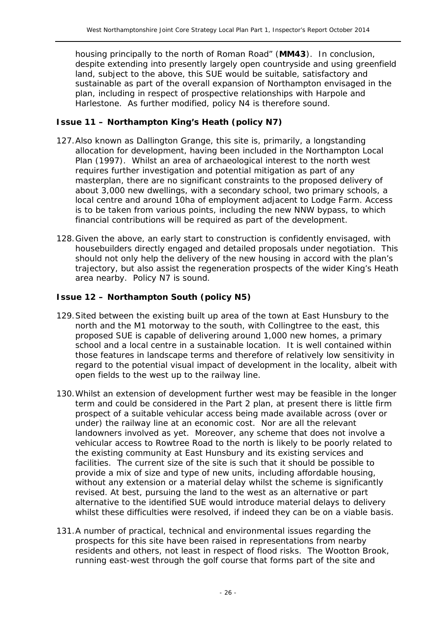housing principally to the north of Roman Road" (**MM43**). In conclusion, despite extending into presently largely open countryside and using greenfield land, subject to the above, this SUE would be suitable, satisfactory and sustainable as part of the overall expansion of Northampton envisaged in the plan, including in respect of prospective relationships with Harpole and Harlestone. As further modified, policy N4 is therefore sound.

#### **Issue 11 – Northampton King's Heath (policy N7)**

- 127.Also known as Dallington Grange, this site is, primarily, a longstanding allocation for development, having been included in the Northampton Local Plan (1997). Whilst an area of archaeological interest to the north west requires further investigation and potential mitigation as part of any masterplan, there are no significant constraints to the proposed delivery of about 3,000 new dwellings, with a secondary school, two primary schools, a local centre and around 10ha of employment adjacent to Lodge Farm. Access is to be taken from various points, including the new NNW bypass, to which financial contributions will be required as part of the development.
- 128.Given the above, an early start to construction is confidently envisaged, with housebuilders directly engaged and detailed proposals under negotiation. This should not only help the delivery of the new housing in accord with the plan's trajectory, but also assist the regeneration prospects of the wider King's Heath area nearby. Policy N7 is sound.

#### **Issue 12 – Northampton South (policy N5)**

- 129.Sited between the existing built up area of the town at East Hunsbury to the north and the M1 motorway to the south, with Collingtree to the east, this proposed SUE is capable of delivering around 1,000 new homes, a primary school and a local centre in a sustainable location. It is well contained within those features in landscape terms and therefore of relatively low sensitivity in regard to the potential visual impact of development in the locality, albeit with open fields to the west up to the railway line.
- 130.Whilst an extension of development further west may be feasible in the longer term and could be considered in the Part 2 plan, at present there is little firm prospect of a suitable vehicular access being made available across (over or under) the railway line at an economic cost. Nor are all the relevant landowners involved as yet. Moreover, any scheme that does not involve a vehicular access to Rowtree Road to the north is likely to be poorly related to the existing community at East Hunsbury and its existing services and facilities. The current size of the site is such that it should be possible to provide a mix of size and type of new units, including affordable housing, without any extension or a material delay whilst the scheme is significantly revised. At best, pursuing the land to the west as an alternative or part alternative to the identified SUE would introduce material delays to delivery whilst these difficulties were resolved, if indeed they can be on a viable basis.
- 131.A number of practical, technical and environmental issues regarding the prospects for this site have been raised in representations from nearby residents and others, not least in respect of flood risks. The Wootton Brook, running east-west through the golf course that forms part of the site and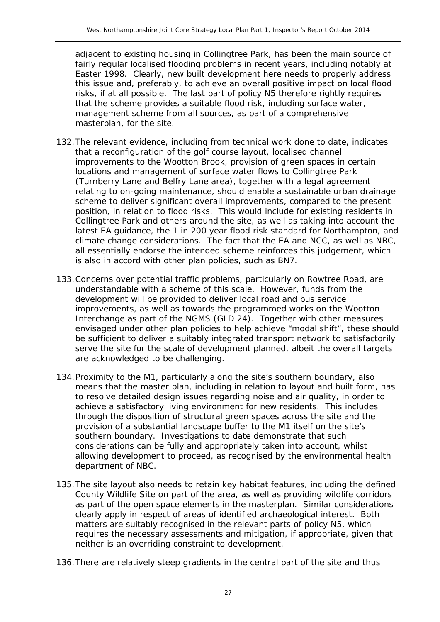adjacent to existing housing in Collingtree Park, has been the main source of fairly regular localised flooding problems in recent years, including notably at Easter 1998. Clearly, new built development here needs to properly address this issue and, preferably, to achieve an overall positive impact on local flood risks, if at all possible. The last part of policy N5 therefore rightly requires that the scheme provides a suitable flood risk, including surface water, management scheme from all sources, as part of a comprehensive masterplan, for the site.

- 132.The relevant evidence, including from technical work done to date, indicates that a reconfiguration of the golf course layout, localised channel improvements to the Wootton Brook, provision of green spaces in certain locations and management of surface water flows to Collingtree Park (Turnberry Lane and Belfry Lane area), together with a legal agreement relating to on-going maintenance, should enable a sustainable urban drainage scheme to deliver significant overall improvements, compared to the present position, in relation to flood risks. This would include for existing residents in Collingtree Park and others around the site, as well as taking into account the latest EA guidance, the 1 in 200 year flood risk standard for Northampton, and climate change considerations. The fact that the EA and NCC, as well as NBC, all essentially endorse the intended scheme reinforces this judgement, which is also in accord with other plan policies, such as BN7.
- 133.Concerns over potential traffic problems, particularly on Rowtree Road, are understandable with a scheme of this scale. However, funds from the development will be provided to deliver local road and bus service improvements, as well as towards the programmed works on the Wootton Interchange as part of the NGMS (GLD 24). Together with other measures envisaged under other plan policies to help achieve "modal shift", these should be sufficient to deliver a suitably integrated transport network to satisfactorily serve the site for the scale of development planned, albeit the overall targets are acknowledged to be challenging.
- 134.Proximity to the M1, particularly along the site's southern boundary, also means that the master plan, including in relation to layout and built form, has to resolve detailed design issues regarding noise and air quality, in order to achieve a satisfactory living environment for new residents. This includes through the disposition of structural green spaces across the site and the provision of a substantial landscape buffer to the M1 itself on the site's southern boundary. Investigations to date demonstrate that such considerations can be fully and appropriately taken into account, whilst allowing development to proceed, as recognised by the environmental health department of NBC.
- 135.The site layout also needs to retain key habitat features, including the defined County Wildlife Site on part of the area, as well as providing wildlife corridors as part of the open space elements in the masterplan. Similar considerations clearly apply in respect of areas of identified archaeological interest. Both matters are suitably recognised in the relevant parts of policy N5, which requires the necessary assessments and mitigation, if appropriate, given that neither is an overriding constraint to development.
- 136.There are relatively steep gradients in the central part of the site and thus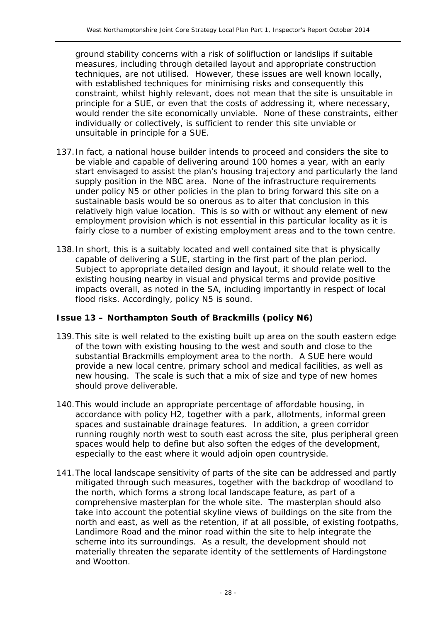ground stability concerns with a risk of solifluction or landslips if suitable measures, including through detailed layout and appropriate construction techniques, are not utilised. However, these issues are well known locally, with established techniques for minimising risks and consequently this constraint, whilst highly relevant, does not mean that the site is unsuitable in principle for a SUE, or even that the costs of addressing it, where necessary, would render the site economically unviable. None of these constraints, either individually or collectively, is sufficient to render this site unviable or unsuitable in principle for a SUE.

- 137.In fact, a national house builder intends to proceed and considers the site to be viable and capable of delivering around 100 homes a year, with an early start envisaged to assist the plan's housing trajectory and particularly the land supply position in the NBC area. None of the infrastructure requirements under policy N5 or other policies in the plan to bring forward this site on a sustainable basis would be so onerous as to alter that conclusion in this relatively high value location. This is so with or without any element of new employment provision which is not essential in this particular locality as it is fairly close to a number of existing employment areas and to the town centre.
- 138.In short, this is a suitably located and well contained site that is physically capable of delivering a SUE, starting in the first part of the plan period. Subject to appropriate detailed design and layout, it should relate well to the existing housing nearby in visual and physical terms and provide positive impacts overall, as noted in the SA, including importantly in respect of local flood risks. Accordingly, policy N5 is sound.

#### **Issue 13 – Northampton South of Brackmills (policy N6)**

- 139.This site is well related to the existing built up area on the south eastern edge of the town with existing housing to the west and south and close to the substantial Brackmills employment area to the north. A SUE here would provide a new local centre, primary school and medical facilities, as well as new housing. The scale is such that a mix of size and type of new homes should prove deliverable.
- 140.This would include an appropriate percentage of affordable housing, in accordance with policy H2, together with a park, allotments, informal green spaces and sustainable drainage features. In addition, a green corridor running roughly north west to south east across the site, plus peripheral green spaces would help to define but also soften the edges of the development, especially to the east where it would adjoin open countryside.
- 141.The local landscape sensitivity of parts of the site can be addressed and partly mitigated through such measures, together with the backdrop of woodland to the north, which forms a strong local landscape feature, as part of a comprehensive masterplan for the whole site. The masterplan should also take into account the potential skyline views of buildings on the site from the north and east, as well as the retention, if at all possible, of existing footpaths, Landimore Road and the minor road within the site to help integrate the scheme into its surroundings. As a result, the development should not materially threaten the separate identity of the settlements of Hardingstone and Wootton.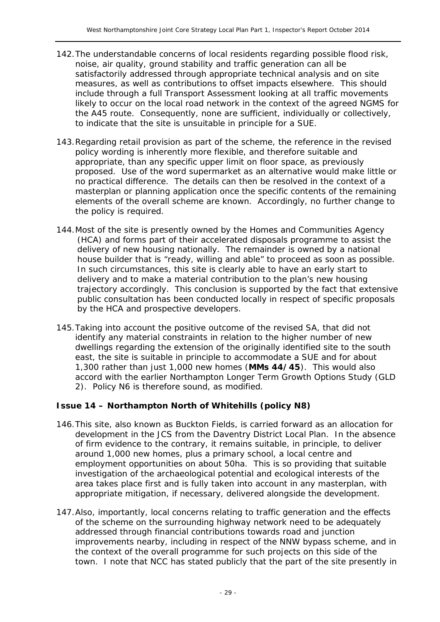- 142.The understandable concerns of local residents regarding possible flood risk, noise, air quality, ground stability and traffic generation can all be satisfactorily addressed through appropriate technical analysis and on site measures, as well as contributions to offset impacts elsewhere. This should include through a full Transport Assessment looking at all traffic movements likely to occur on the local road network in the context of the agreed NGMS for the A45 route. Consequently, none are sufficient, individually or collectively, to indicate that the site is unsuitable in principle for a SUE.
- 143.Regarding retail provision as part of the scheme, the reference in the revised policy wording is inherently more flexible, and therefore suitable and appropriate, than any specific upper limit on floor space, as previously proposed. Use of the word supermarket as an alternative would make little or no practical difference. The details can then be resolved in the context of a masterplan or planning application once the specific contents of the remaining elements of the overall scheme are known. Accordingly, no further change to the policy is required.
- 144.Most of the site is presently owned by the Homes and Communities Agency (HCA) and forms part of their accelerated disposals programme to assist the delivery of new housing nationally. The remainder is owned by a national house builder that is "ready, willing and able" to proceed as soon as possible. In such circumstances, this site is clearly able to have an early start to delivery and to make a material contribution to the plan's new housing trajectory accordingly. This conclusion is supported by the fact that extensive public consultation has been conducted locally in respect of specific proposals by the HCA and prospective developers.
- 145.Taking into account the positive outcome of the revised SA, that did not identify any material constraints in relation to the higher number of new dwellings regarding the extension of the originally identified site to the south east, the site is suitable in principle to accommodate a SUE and for about 1,300 rather than just 1,000 new homes (**MMs 44/45**). This would also accord with the earlier Northampton Longer Term Growth Options Study (GLD 2). Policy N6 is therefore sound, as modified.

#### **Issue 14 – Northampton North of Whitehills (policy N8)**

- 146.This site, also known as Buckton Fields, is carried forward as an allocation for development in the JCS from the Daventry District Local Plan. In the absence of firm evidence to the contrary, it remains suitable, in principle, to deliver around 1,000 new homes, plus a primary school, a local centre and employment opportunities on about 50ha. This is so providing that suitable investigation of the archaeological potential and ecological interests of the area takes place first and is fully taken into account in any masterplan, with appropriate mitigation, if necessary, delivered alongside the development.
- 147.Also, importantly, local concerns relating to traffic generation and the effects of the scheme on the surrounding highway network need to be adequately addressed through financial contributions towards road and junction improvements nearby, including in respect of the NNW bypass scheme, and in the context of the overall programme for such projects on this side of the town. I note that NCC has stated publicly that the part of the site presently in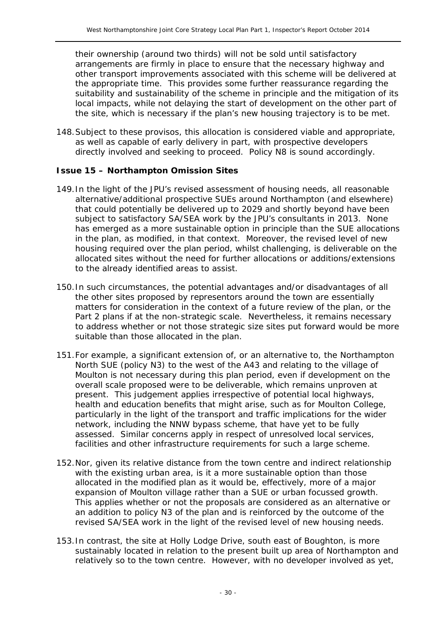their ownership (around two thirds) will not be sold until satisfactory arrangements are firmly in place to ensure that the necessary highway and other transport improvements associated with this scheme will be delivered at the appropriate time. This provides some further reassurance regarding the suitability and sustainability of the scheme in principle and the mitigation of its local impacts, while not delaying the start of development on the other part of the site, which is necessary if the plan's new housing trajectory is to be met.

148.Subject to these provisos, this allocation is considered viable and appropriate, as well as capable of early delivery in part, with prospective developers directly involved and seeking to proceed. Policy N8 is sound accordingly.

#### **Issue 15 – Northampton Omission Sites**

- 149.In the light of the JPU's revised assessment of housing needs, all reasonable alternative/additional prospective SUEs around Northampton (and elsewhere) that could potentially be delivered up to 2029 and shortly beyond have been subject to satisfactory SA/SEA work by the JPU's consultants in 2013. None has emerged as a more sustainable option in principle than the SUE allocations in the plan, as modified, in that context. Moreover, the revised level of new housing required over the plan period, whilst challenging, is deliverable on the allocated sites without the need for further allocations or additions/extensions to the already identified areas to assist.
- 150.In such circumstances, the potential advantages and/or disadvantages of all the other sites proposed by representors around the town are essentially matters for consideration in the context of a future review of the plan, or the Part 2 plans if at the non-strategic scale. Nevertheless, it remains necessary to address whether or not those strategic size sites put forward would be more suitable than those allocated in the plan.
- 151.For example, a significant extension of, or an alternative to, the Northampton North SUE (policy N3) to the west of the A43 and relating to the village of Moulton is not necessary during this plan period, even if development on the overall scale proposed were to be deliverable, which remains unproven at present. This judgement applies irrespective of potential local highways, health and education benefits that might arise, such as for Moulton College, particularly in the light of the transport and traffic implications for the wider network, including the NNW bypass scheme, that have yet to be fully assessed. Similar concerns apply in respect of unresolved local services, facilities and other infrastructure requirements for such a large scheme.
- 152.Nor, given its relative distance from the town centre and indirect relationship with the existing urban area, is it a more sustainable option than those allocated in the modified plan as it would be, effectively, more of a major expansion of Moulton village rather than a SUE or urban focussed growth. This applies whether or not the proposals are considered as an alternative or an addition to policy N3 of the plan and is reinforced by the outcome of the revised SA/SEA work in the light of the revised level of new housing needs.
- 153.In contrast, the site at Holly Lodge Drive, south east of Boughton, is more sustainably located in relation to the present built up area of Northampton and relatively so to the town centre. However, with no developer involved as yet,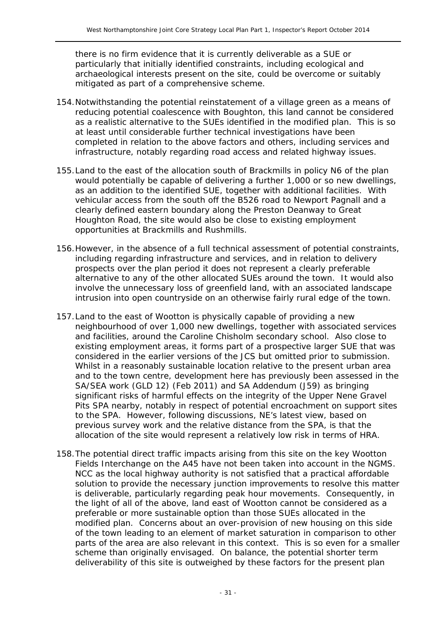there is no firm evidence that it is currently deliverable as a SUE or particularly that initially identified constraints, including ecological and archaeological interests present on the site, could be overcome or suitably mitigated as part of a comprehensive scheme.

- 154.Notwithstanding the potential reinstatement of a village green as a means of reducing potential coalescence with Boughton, this land cannot be considered as a realistic alternative to the SUEs identified in the modified plan. This is so at least until considerable further technical investigations have been completed in relation to the above factors and others, including services and infrastructure, notably regarding road access and related highway issues.
- 155.Land to the east of the allocation south of Brackmills in policy N6 of the plan would potentially be capable of delivering a further 1,000 or so new dwellings, as an addition to the identified SUE, together with additional facilities. With vehicular access from the south off the B526 road to Newport Pagnall and a clearly defined eastern boundary along the Preston Deanway to Great Houghton Road, the site would also be close to existing employment opportunities at Brackmills and Rushmills.
- 156.However, in the absence of a full technical assessment of potential constraints, including regarding infrastructure and services, and in relation to delivery prospects over the plan period it does not represent a clearly preferable alternative to any of the other allocated SUEs around the town. It would also involve the unnecessary loss of greenfield land, with an associated landscape intrusion into open countryside on an otherwise fairly rural edge of the town.
- 157.Land to the east of Wootton is physically capable of providing a new neighbourhood of over 1,000 new dwellings, together with associated services and facilities, around the Caroline Chisholm secondary school. Also close to existing employment areas, it forms part of a prospective larger SUE that was considered in the earlier versions of the JCS but omitted prior to submission. Whilst in a reasonably sustainable location relative to the present urban area and to the town centre, development here has previously been assessed in the SA/SEA work (GLD 12) (Feb 2011) and SA Addendum (J59) as bringing significant risks of harmful effects on the integrity of the Upper Nene Gravel Pits SPA nearby, notably in respect of potential encroachment on support sites to the SPA. However, following discussions, NE's latest view, based on previous survey work and the relative distance from the SPA, is that the allocation of the site would represent a relatively low risk in terms of HRA.
- 158.The potential direct traffic impacts arising from this site on the key Wootton Fields Interchange on the A45 have not been taken into account in the NGMS. NCC as the local highway authority is not satisfied that a practical affordable solution to provide the necessary junction improvements to resolve this matter is deliverable, particularly regarding peak hour movements. Consequently, in the light of all of the above, land east of Wootton cannot be considered as a preferable or more sustainable option than those SUEs allocated in the modified plan. Concerns about an over-provision of new housing on this side of the town leading to an element of market saturation in comparison to other parts of the area are also relevant in this context. This is so even for a smaller scheme than originally envisaged. On balance, the potential shorter term deliverability of this site is outweighed by these factors for the present plan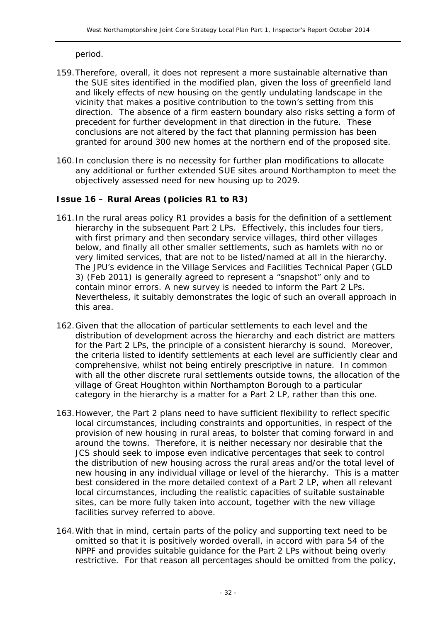period.

- 159.Therefore, overall, it does not represent a more sustainable alternative than the SUE sites identified in the modified plan, given the loss of greenfield land and likely effects of new housing on the gently undulating landscape in the vicinity that makes a positive contribution to the town's setting from this direction. The absence of a firm eastern boundary also risks setting a form of precedent for further development in that direction in the future. These conclusions are not altered by the fact that planning permission has been granted for around 300 new homes at the northern end of the proposed site.
- 160.In conclusion there is no necessity for further plan modifications to allocate any additional or further extended SUE sites around Northampton to meet the objectively assessed need for new housing up to 2029.

#### **Issue 16 – Rural Areas (policies R1 to R3)**

- 161.In the rural areas policy R1 provides a basis for the definition of a settlement hierarchy in the subsequent Part 2 LPs. Effectively, this includes four tiers, with first primary and then secondary service villages, third other villages below, and finally all other smaller settlements, such as hamlets with no or very limited services, that are not to be listed/named at all in the hierarchy. The JPU's evidence in the Village Services and Facilities Technical Paper (GLD 3) (Feb 2011) is generally agreed to represent a "snapshot" only and to contain minor errors. A new survey is needed to inform the Part 2 LPs. Nevertheless, it suitably demonstrates the logic of such an overall approach in this area.
- 162.Given that the allocation of particular settlements to each level and the distribution of development across the hierarchy and each district are matters for the Part 2 LPs, the principle of a consistent hierarchy is sound. Moreover, the criteria listed to identify settlements at each level are sufficiently clear and comprehensive, whilst not being entirely prescriptive in nature. In common with all the other discrete rural settlements outside towns, the allocation of the village of Great Houghton within Northampton Borough to a particular category in the hierarchy is a matter for a Part 2 LP, rather than this one.
- 163.However, the Part 2 plans need to have sufficient flexibility to reflect specific local circumstances, including constraints and opportunities, in respect of the provision of new housing in rural areas, to bolster that coming forward in and around the towns. Therefore, it is neither necessary nor desirable that the JCS should seek to impose even indicative percentages that seek to control the distribution of new housing across the rural areas and/or the total level of new housing in any individual village or level of the hierarchy. This is a matter best considered in the more detailed context of a Part 2 LP, when all relevant local circumstances, including the realistic capacities of suitable sustainable sites, can be more fully taken into account, together with the new village facilities survey referred to above.
- 164.With that in mind, certain parts of the policy and supporting text need to be omitted so that it is positively worded overall, in accord with para 54 of the NPPF and provides suitable guidance for the Part 2 LPs without being overly restrictive. For that reason all percentages should be omitted from the policy,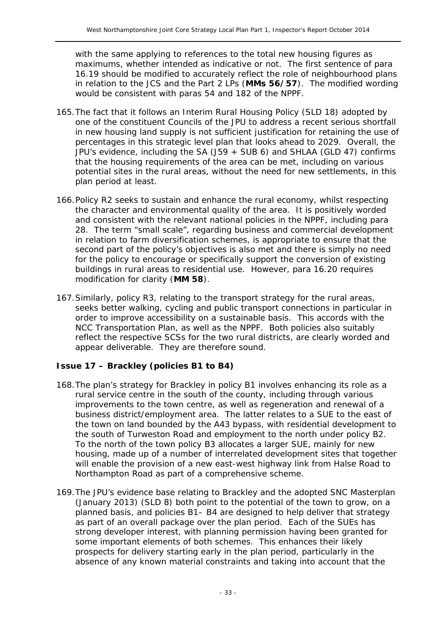with the same applying to references to the total new housing figures as maximums, whether intended as indicative or not. The first sentence of para 16.19 should be modified to accurately reflect the role of neighbourhood plans in relation to the JCS and the Part 2 LPs (**MMs 56/57**). The modified wording would be consistent with paras 54 and 182 of the NPPF.

- 165.The fact that it follows an Interim Rural Housing Policy (SLD 18) adopted by one of the constituent Councils of the JPU to address a recent serious shortfall in new housing land supply is not sufficient justification for retaining the use of percentages in this strategic level plan that looks ahead to 2029. Overall, the JPU's evidence, including the SA (J59 + SUB 6) and SHLAA (GLD 47) confirms that the housing requirements of the area can be met, including on various potential sites in the rural areas, without the need for new settlements, in this plan period at least.
- 166.Policy R2 seeks to sustain and enhance the rural economy, whilst respecting the character and environmental quality of the area. It is positively worded and consistent with the relevant national policies in the NPPF, including para 28. The term "small scale", regarding business and commercial development in relation to farm diversification schemes, is appropriate to ensure that the second part of the policy's objectives is also met and there is simply no need for the policy to encourage or specifically support the conversion of existing buildings in rural areas to residential use. However, para 16.20 requires modification for clarity (**MM 58**).
- 167.Similarly, policy R3, relating to the transport strategy for the rural areas, seeks better walking, cycling and public transport connections in particular in order to improve accessibility on a sustainable basis. This accords with the NCC Transportation Plan, as well as the NPPF. Both policies also suitably reflect the respective SCSs for the two rural districts, are clearly worded and appear deliverable. They are therefore sound.

#### **Issue 17 – Brackley (policies B1 to B4)**

- 168.The plan's strategy for Brackley in policy B1 involves enhancing its role as a rural service centre in the south of the county, including through various improvements to the town centre, as well as regeneration and renewal of a business district/employment area. The latter relates to a SUE to the east of the town on land bounded by the A43 bypass, with residential development to the south of Turweston Road and employment to the north under policy B2. To the north of the town policy B3 allocates a larger SUE, mainly for new housing, made up of a number of interrelated development sites that together will enable the provision of a new east-west highway link from Halse Road to Northampton Road as part of a comprehensive scheme.
- 169.The JPU's evidence base relating to Brackley and the adopted SNC Masterplan (January 2013) (SLD 8) both point to the potential of the town to grow, on a planned basis, and policies B1– B4 are designed to help deliver that strategy as part of an overall package over the plan period. Each of the SUEs has strong developer interest, with planning permission having been granted for some important elements of both schemes. This enhances their likely prospects for delivery starting early in the plan period, particularly in the absence of any known material constraints and taking into account that the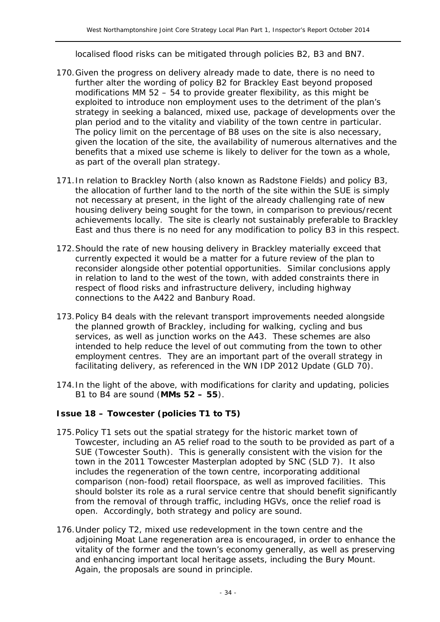localised flood risks can be mitigated through policies B2, B3 and BN7.

- 170.Given the progress on delivery already made to date, there is no need to further alter the wording of policy B2 for Brackley East beyond proposed modifications MM 52 – 54 to provide greater flexibility, as this might be exploited to introduce non employment uses to the detriment of the plan's strategy in seeking a balanced, mixed use, package of developments over the plan period and to the vitality and viability of the town centre in particular. The policy limit on the percentage of B8 uses on the site is also necessary, given the location of the site, the availability of numerous alternatives and the benefits that a mixed use scheme is likely to deliver for the town as a whole, as part of the overall plan strategy.
- 171.In relation to Brackley North (also known as Radstone Fields) and policy B3, the allocation of further land to the north of the site within the SUE is simply not necessary at present, in the light of the already challenging rate of new housing delivery being sought for the town, in comparison to previous/recent achievements locally. The site is clearly not sustainably preferable to Brackley East and thus there is no need for any modification to policy B3 in this respect.
- 172.Should the rate of new housing delivery in Brackley materially exceed that currently expected it would be a matter for a future review of the plan to reconsider alongside other potential opportunities. Similar conclusions apply in relation to land to the west of the town, with added constraints there in respect of flood risks and infrastructure delivery, including highway connections to the A422 and Banbury Road.
- 173.Policy B4 deals with the relevant transport improvements needed alongside the planned growth of Brackley, including for walking, cycling and bus services, as well as junction works on the A43. These schemes are also intended to help reduce the level of out commuting from the town to other employment centres. They are an important part of the overall strategy in facilitating delivery, as referenced in the WN IDP 2012 Update (GLD 70).
- 174.In the light of the above, with modifications for clarity and updating, policies B1 to B4 are sound (**MMs 52 – 55**).

#### **Issue 18 – Towcester (policies T1 to T5)**

- 175.Policy T1 sets out the spatial strategy for the historic market town of Towcester, including an A5 relief road to the south to be provided as part of a SUE (Towcester South). This is generally consistent with the vision for the town in the 2011 Towcester Masterplan adopted by SNC (SLD 7). It also includes the regeneration of the town centre, incorporating additional comparison (non-food) retail floorspace, as well as improved facilities. This should bolster its role as a rural service centre that should benefit significantly from the removal of through traffic, including HGVs, once the relief road is open. Accordingly, both strategy and policy are sound.
- 176.Under policy T2, mixed use redevelopment in the town centre and the adjoining Moat Lane regeneration area is encouraged, in order to enhance the vitality of the former and the town's economy generally, as well as preserving and enhancing important local heritage assets, including the Bury Mount. Again, the proposals are sound in principle.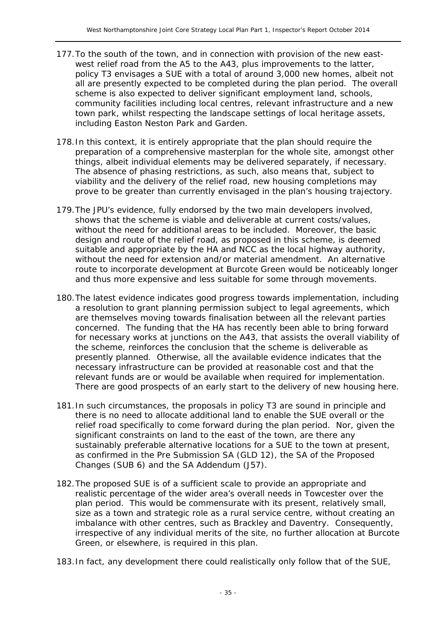- 177.To the south of the town, and in connection with provision of the new eastwest relief road from the A5 to the A43, plus improvements to the latter, policy T3 envisages a SUE with a total of around 3,000 new homes, albeit not all are presently expected to be completed during the plan period. The overall scheme is also expected to deliver significant employment land, schools, community facilities including local centres, relevant infrastructure and a new town park, whilst respecting the landscape settings of local heritage assets, including Easton Neston Park and Garden.
- 178.In this context, it is entirely appropriate that the plan should require the preparation of a comprehensive masterplan for the whole site, amongst other things, albeit individual elements may be delivered separately, if necessary. The absence of phasing restrictions, as such, also means that, subject to viability and the delivery of the relief road, new housing completions may prove to be greater than currently envisaged in the plan's housing trajectory.
- 179.The JPU's evidence, fully endorsed by the two main developers involved, shows that the scheme is viable and deliverable at current costs/values, without the need for additional areas to be included. Moreover, the basic design and route of the relief road, as proposed in this scheme, is deemed suitable and appropriate by the HA and NCC as the local highway authority, without the need for extension and/or material amendment. An alternative route to incorporate development at Burcote Green would be noticeably longer and thus more expensive and less suitable for some through movements.
- 180.The latest evidence indicates good progress towards implementation, including a resolution to grant planning permission subject to legal agreements, which are themselves moving towards finalisation between all the relevant parties concerned. The funding that the HA has recently been able to bring forward for necessary works at junctions on the A43, that assists the overall viability of the scheme, reinforces the conclusion that the scheme is deliverable as presently planned. Otherwise, all the available evidence indicates that the necessary infrastructure can be provided at reasonable cost and that the relevant funds are or would be available when required for implementation. There are good prospects of an early start to the delivery of new housing here.
- 181.In such circumstances, the proposals in policy T3 are sound in principle and there is no need to allocate additional land to enable the SUE overall or the relief road specifically to come forward during the plan period. Nor, given the significant constraints on land to the east of the town, are there any sustainably preferable alternative locations for a SUE to the town at present, as confirmed in the Pre Submission SA (GLD 12), the SA of the Proposed Changes (SUB 6) and the SA Addendum (J57).
- 182.The proposed SUE is of a sufficient scale to provide an appropriate and realistic percentage of the wider area's overall needs in Towcester over the plan period. This would be commensurate with its present, relatively small, size as a town and strategic role as a rural service centre, without creating an imbalance with other centres, such as Brackley and Daventry. Consequently, irrespective of any individual merits of the site, no further allocation at Burcote Green, or elsewhere, is required in this plan.
- 183.In fact, any development there could realistically only follow that of the SUE,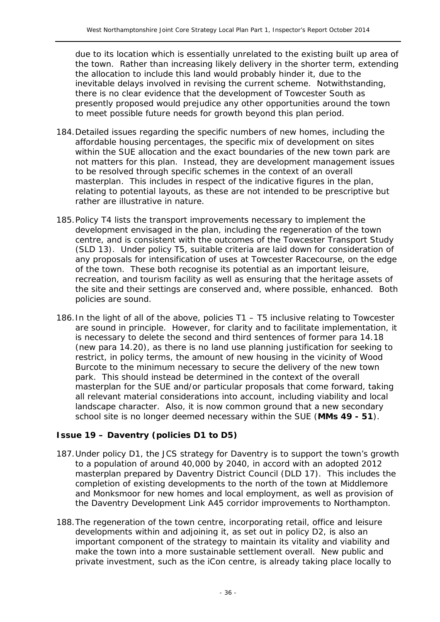due to its location which is essentially unrelated to the existing built up area of the town. Rather than increasing likely delivery in the shorter term, extending the allocation to include this land would probably hinder it, due to the inevitable delays involved in revising the current scheme. Notwithstanding, there is no clear evidence that the development of Towcester South as presently proposed would prejudice any other opportunities around the town to meet possible future needs for growth beyond this plan period.

- 184.Detailed issues regarding the specific numbers of new homes, including the affordable housing percentages, the specific mix of development on sites within the SUE allocation and the exact boundaries of the new town park are not matters for this plan. Instead, they are development management issues to be resolved through specific schemes in the context of an overall masterplan. This includes in respect of the indicative figures in the plan, relating to potential layouts, as these are not intended to be prescriptive but rather are illustrative in nature.
- 185.Policy T4 lists the transport improvements necessary to implement the development envisaged in the plan, including the regeneration of the town centre, and is consistent with the outcomes of the Towcester Transport Study (SLD 13). Under policy T5, suitable criteria are laid down for consideration of any proposals for intensification of uses at Towcester Racecourse, on the edge of the town. These both recognise its potential as an important leisure, recreation, and tourism facility as well as ensuring that the heritage assets of the site and their settings are conserved and, where possible, enhanced. Both policies are sound.
- 186.In the light of all of the above, policies T1 T5 inclusive relating to Towcester are sound in principle. However, for clarity and to facilitate implementation, it is necessary to delete the second and third sentences of former para 14.18 (new para 14.20), as there is no land use planning justification for seeking to restrict, in policy terms, the amount of new housing in the vicinity of Wood Burcote to the minimum necessary to secure the delivery of the new town park. This should instead be determined in the context of the overall masterplan for the SUE and/or particular proposals that come forward, taking all relevant material considerations into account, including viability and local landscape character. Also, it is now common ground that a new secondary school site is no longer deemed necessary within the SUE (**MMs 49 - 51**).

#### **Issue 19 – Daventry (policies D1 to D5)**

- 187.Under policy D1, the JCS strategy for Daventry is to support the town's growth to a population of around 40,000 by 2040, in accord with an adopted 2012 masterplan prepared by Daventry District Council (DLD 17). This includes the completion of existing developments to the north of the town at Middlemore and Monksmoor for new homes and local employment, as well as provision of the Daventry Development Link A45 corridor improvements to Northampton.
- 188.The regeneration of the town centre, incorporating retail, office and leisure developments within and adjoining it, as set out in policy D2, is also an important component of the strategy to maintain its vitality and viability and make the town into a more sustainable settlement overall. New public and private investment, such as the iCon centre, is already taking place locally to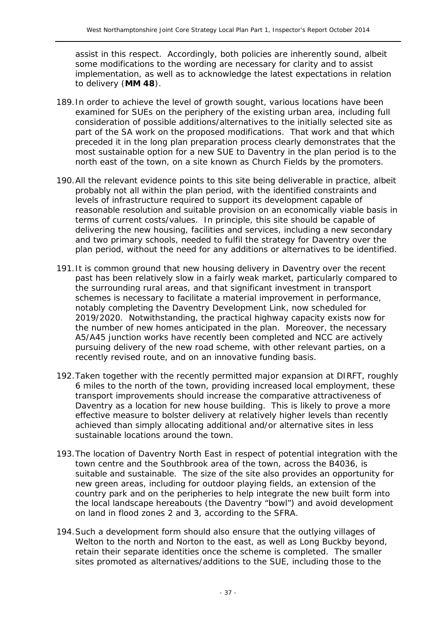assist in this respect. Accordingly, both policies are inherently sound, albeit some modifications to the wording are necessary for clarity and to assist implementation, as well as to acknowledge the latest expectations in relation to delivery (**MM 48**).

- 189.In order to achieve the level of growth sought, various locations have been examined for SUEs on the periphery of the existing urban area, including full consideration of possible additions/alternatives to the initially selected site as part of the SA work on the proposed modifications. That work and that which preceded it in the long plan preparation process clearly demonstrates that the most sustainable option for a new SUE to Daventry in the plan period is to the north east of the town, on a site known as Church Fields by the promoters.
- 190.All the relevant evidence points to this site being deliverable in practice, albeit probably not all within the plan period, with the identified constraints and levels of infrastructure required to support its development capable of reasonable resolution and suitable provision on an economically viable basis in terms of current costs/values. In principle, this site should be capable of delivering the new housing, facilities and services, including a new secondary and two primary schools, needed to fulfil the strategy for Daventry over the plan period, without the need for any additions or alternatives to be identified.
- 191.It is common ground that new housing delivery in Daventry over the recent past has been relatively slow in a fairly weak market, particularly compared to the surrounding rural areas, and that significant investment in transport schemes is necessary to facilitate a material improvement in performance, notably completing the Daventry Development Link, now scheduled for 2019/2020. Notwithstanding, the practical highway capacity exists now for the number of new homes anticipated in the plan. Moreover, the necessary A5/A45 junction works have recently been completed and NCC are actively pursuing delivery of the new road scheme, with other relevant parties, on a recently revised route, and on an innovative funding basis.
- 192.Taken together with the recently permitted major expansion at DIRFT, roughly 6 miles to the north of the town, providing increased local employment, these transport improvements should increase the comparative attractiveness of Daventry as a location for new house building. This is likely to prove a more effective measure to bolster delivery at relatively higher levels than recently achieved than simply allocating additional and/or alternative sites in less sustainable locations around the town.
- 193.The location of Daventry North East in respect of potential integration with the town centre and the Southbrook area of the town, across the B4036, is suitable and sustainable. The size of the site also provides an opportunity for new green areas, including for outdoor playing fields, an extension of the country park and on the peripheries to help integrate the new built form into the local landscape hereabouts (the Daventry "bowl") and avoid development on land in flood zones 2 and 3, according to the SFRA.
- 194.Such a development form should also ensure that the outlying villages of Welton to the north and Norton to the east, as well as Long Buckby beyond, retain their separate identities once the scheme is completed. The smaller sites promoted as alternatives/additions to the SUE, including those to the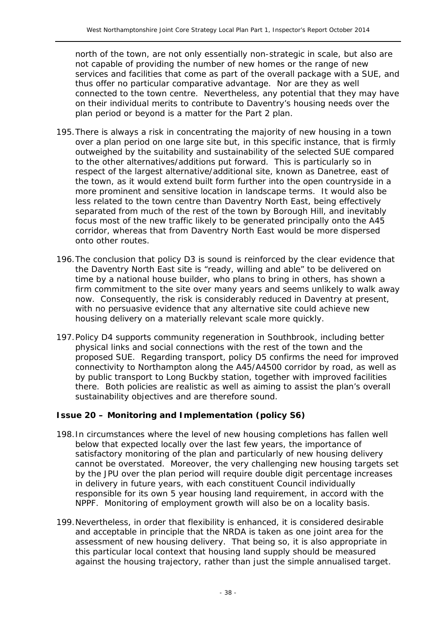north of the town, are not only essentially non-strategic in scale, but also are not capable of providing the number of new homes or the range of new services and facilities that come as part of the overall package with a SUE, and thus offer no particular comparative advantage. Nor are they as well connected to the town centre. Nevertheless, any potential that they may have on their individual merits to contribute to Daventry's housing needs over the plan period or beyond is a matter for the Part 2 plan.

- 195.There is always a risk in concentrating the majority of new housing in a town over a plan period on one large site but, in this specific instance, that is firmly outweighed by the suitability and sustainability of the selected SUE compared to the other alternatives/additions put forward. This is particularly so in respect of the largest alternative/additional site, known as Danetree, east of the town, as it would extend built form further into the open countryside in a more prominent and sensitive location in landscape terms. It would also be less related to the town centre than Daventry North East, being effectively separated from much of the rest of the town by Borough Hill, and inevitably focus most of the new traffic likely to be generated principally onto the A45 corridor, whereas that from Daventry North East would be more dispersed onto other routes.
- 196.The conclusion that policy D3 is sound is reinforced by the clear evidence that the Daventry North East site is "ready, willing and able" to be delivered on time by a national house builder, who plans to bring in others, has shown a firm commitment to the site over many years and seems unlikely to walk away now. Consequently, the risk is considerably reduced in Daventry at present, with no persuasive evidence that any alternative site could achieve new housing delivery on a materially relevant scale more quickly.
- 197.Policy D4 supports community regeneration in Southbrook, including better physical links and social connections with the rest of the town and the proposed SUE. Regarding transport, policy D5 confirms the need for improved connectivity to Northampton along the A45/A4500 corridor by road, as well as by public transport to Long Buckby station, together with improved facilities there. Both policies are realistic as well as aiming to assist the plan's overall sustainability objectives and are therefore sound.

#### **Issue 20 – Monitoring and Implementation (policy S6)**

- 198.In circumstances where the level of new housing completions has fallen well below that expected locally over the last few years, the importance of satisfactory monitoring of the plan and particularly of new housing delivery cannot be overstated. Moreover, the very challenging new housing targets set by the JPU over the plan period will require double digit percentage increases in delivery in future years, with each constituent Council individually responsible for its own 5 year housing land requirement, in accord with the NPPF. Monitoring of employment growth will also be on a locality basis.
- 199.Nevertheless, in order that flexibility is enhanced, it is considered desirable and acceptable in principle that the NRDA is taken as one joint area for the assessment of new housing delivery. That being so, it is also appropriate in this particular local context that housing land supply should be measured against the housing trajectory, rather than just the simple annualised target.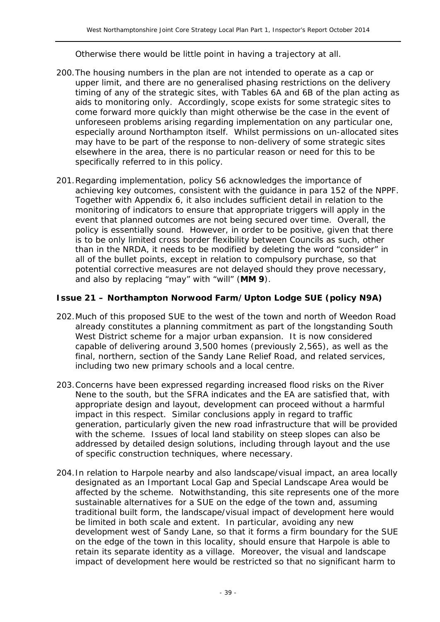Otherwise there would be little point in having a trajectory at all.

- 200.The housing numbers in the plan are not intended to operate as a cap or upper limit, and there are no generalised phasing restrictions on the delivery timing of any of the strategic sites, with Tables 6A and 6B of the plan acting as aids to monitoring only. Accordingly, scope exists for some strategic sites to come forward more quickly than might otherwise be the case in the event of unforeseen problems arising regarding implementation on any particular one, especially around Northampton itself. Whilst permissions on un-allocated sites may have to be part of the response to non-delivery of some strategic sites elsewhere in the area, there is no particular reason or need for this to be specifically referred to in this policy.
- 201.Regarding implementation, policy S6 acknowledges the importance of achieving key outcomes, consistent with the guidance in para 152 of the NPPF. Together with Appendix 6, it also includes sufficient detail in relation to the monitoring of indicators to ensure that appropriate triggers will apply in the event that planned outcomes are not being secured over time. Overall, the policy is essentially sound. However, in order to be positive, given that there is to be only limited cross border flexibility between Councils as such, other than in the NRDA, it needs to be modified by deleting the word "consider" in all of the bullet points, except in relation to compulsory purchase, so that potential corrective measures are not delayed should they prove necessary, and also by replacing "may" with "will" (**MM 9**).

#### **Issue 21 – Northampton Norwood Farm/Upton Lodge SUE (policy N9A)**

- 202.Much of this proposed SUE to the west of the town and north of Weedon Road already constitutes a planning commitment as part of the longstanding South West District scheme for a major urban expansion. It is now considered capable of delivering around 3,500 homes (previously 2,565), as well as the final, northern, section of the Sandy Lane Relief Road, and related services, including two new primary schools and a local centre.
- 203.Concerns have been expressed regarding increased flood risks on the River Nene to the south, but the SFRA indicates and the EA are satisfied that, with appropriate design and layout, development can proceed without a harmful impact in this respect. Similar conclusions apply in regard to traffic generation, particularly given the new road infrastructure that will be provided with the scheme. Issues of local land stability on steep slopes can also be addressed by detailed design solutions, including through layout and the use of specific construction techniques, where necessary.
- 204.In relation to Harpole nearby and also landscape/visual impact, an area locally designated as an Important Local Gap and Special Landscape Area would be affected by the scheme. Notwithstanding, this site represents one of the more sustainable alternatives for a SUE on the edge of the town and, assuming traditional built form, the landscape/visual impact of development here would be limited in both scale and extent. In particular, avoiding any new development west of Sandy Lane, so that it forms a firm boundary for the SUE on the edge of the town in this locality, should ensure that Harpole is able to retain its separate identity as a village. Moreover, the visual and landscape impact of development here would be restricted so that no significant harm to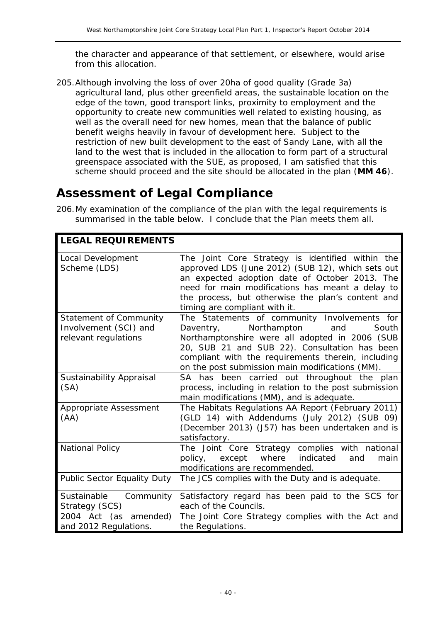the character and appearance of that settlement, or elsewhere, would arise from this allocation.

205.Although involving the loss of over 20ha of good quality (Grade 3a) agricultural land, plus other greenfield areas, the sustainable location on the edge of the town, good transport links, proximity to employment and the opportunity to create new communities well related to existing housing, as well as the overall need for new homes, mean that the balance of public benefit weighs heavily in favour of development here. Subject to the restriction of new built development to the east of Sandy Lane, with all the land to the west that is included in the allocation to form part of a structural greenspace associated with the SUE, as proposed, I am satisfied that this scheme should proceed and the site should be allocated in the plan (**MM 46**).

## **Assessment of Legal Compliance**

206.My examination of the compliance of the plan with the legal requirements is summarised in the table below. I conclude that the Plan meets them all.

| <b>LEGAL REQUIREMENTS</b>                                                      |                                                                                                                                                                                                                                                                                                   |
|--------------------------------------------------------------------------------|---------------------------------------------------------------------------------------------------------------------------------------------------------------------------------------------------------------------------------------------------------------------------------------------------|
| Local Development<br>Scheme (LDS)                                              | The Joint Core Strategy is identified within the<br>approved LDS (June 2012) (SUB 12), which sets out<br>an expected adoption date of October 2013. The<br>need for main modifications has meant a delay to<br>the process, but otherwise the plan's content and<br>timing are compliant with it. |
| <b>Statement of Community</b><br>Involvement (SCI) and<br>relevant regulations | The Statements of community Involvements for<br>Northampton and<br>South<br>Daventry,<br>Northamptonshire were all adopted in 2006 (SUB<br>20, SUB 21 and SUB 22). Consultation has been<br>compliant with the requirements therein, including<br>on the post submission main modifications (MM). |
| Sustainability Appraisal<br>(SA)                                               | SA has been carried out throughout the plan<br>process, including in relation to the post submission<br>main modifications (MM), and is adequate.                                                                                                                                                 |
| Appropriate Assessment<br>(AA)                                                 | The Habitats Regulations AA Report (February 2011)<br>(GLD 14) with Addendums (July 2012) (SUB 09)<br>(December 2013) (J57) has been undertaken and is<br>satisfactory.                                                                                                                           |
| <b>National Policy</b>                                                         | The Joint Core Strategy complies with national<br>policy, except<br>where<br>indicated<br>and<br>main<br>modifications are recommended.                                                                                                                                                           |
| Public Sector Equality Duty                                                    | The JCS complies with the Duty and is adequate.                                                                                                                                                                                                                                                   |
| Sustainable Community<br>Strategy (SCS)                                        | Satisfactory regard has been paid to the SCS for<br>each of the Councils.                                                                                                                                                                                                                         |
| 2004 Act (as amended)<br>and 2012 Regulations.                                 | The Joint Core Strategy complies with the Act and<br>the Regulations.                                                                                                                                                                                                                             |